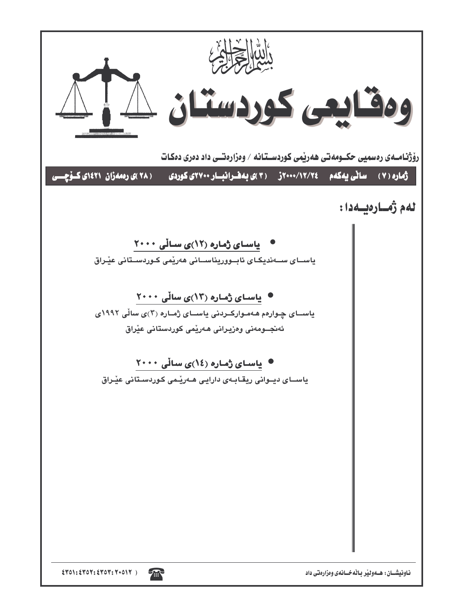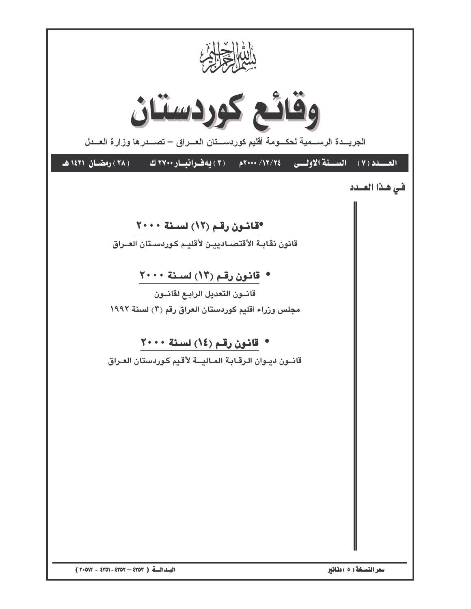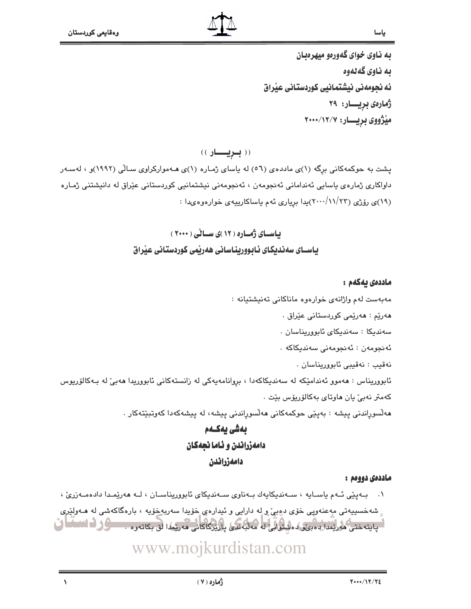

به ناوي خواي گهورهو ميهرهبان به ناوي گه لهوه ئه نحومهني نيشتمانيي كوردستاني عنراق ژمارەى بريسار: ٢٩ مێژووی بریسار: ۲۰۰۰/۱۲/۷

(( **بـريـــار** ))

یشت به حوکمهکانی برگه (۱)ی ماددهی (۵٦) له پاسای ژماره (۱)ی هـهموارکراوی سـالّی (۱۹۹۲)و ، لهسـهر داواکاری ژمارەی ياسايی ئەندامانی ئەنجومەن ، ئەنجومەنی نیشتمانیی کوردستانی عیّراق لە دانیشتنی ژمـارە (١٩)ی رۆژی (٢٠٠/١١/٢٣)يدا برياری ئهم ياساكارييهی خوارهوهىدا :

> باسای ژماره ( ۱۲ )ی سالی ( ۲۰۰۰ ) باسیای سەندىكاي ئايوورىناسانى ھەرٽمى كوردستانى عٽراق

#### ماددەى يەكەم :

مەبەست لەم واژانەي خوارەوە ماناكانى تەنيشتيانە :

هەرێم : ھەرێمى كوردستانى عێراق ٠

سەندىكا : سەندىكاي ئابوورىناسان .

ئەنجومەن : ئەنجومەنى سەندىكاكە .

نەقيب : نەقيبى ئابووريناسان .

ئابووريناس : ھەموو ئەندامێکە لە سەندىكاكەدا ، بروانامەيەكى لە زانستەكانى ئابووريدا ھەبى لە بـەكالۆريوس کەمتر نەبىؒ يان ھاوتاي بەكالۆريۆس بێت ٠

مەلسوراندنى پيشە : بەپێى حوكمەكانى مەلسوراندنى پيشە، لە پيشەكەدا كەوتبێتەكار .

### بەشى يەكــەم دامەزراندن و ئاما نجەكان دامەزراندن

#### ماددهی دوودم :

٠١ به پيّى ئه م ياسايه ، سه نديكايهك به ناوى سه نديكاى ئابووريناسيان ، له هه ريّمدا داده مه زرى ،

<sub>ءِ</sub> شەخسىيەتى مەعنەوپى خۆى دەبى، ولە دارايى و ئيدارەي خۆيدا سەربە<u>خ</u>ۆيە ، بارەگاكەشى لە ھـەولێ*رى* - بايتەختى مۇرىسا دەبىرى دەشتوانى لە مەلبەتتى پارىزگاكانى مەرىمدا لق بكاتەرە . مىلوگ فىلىنا فى

# www.mojkurdistan.com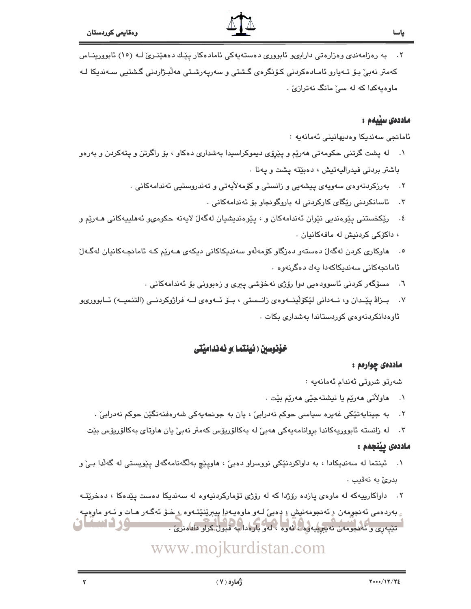۲. به رەزامەندى وەزارەتى دارايىھ ئابوورى دەستەپەكى ئامادەكار يێك دەھێنىرى لـه (١٥) ئابوورينـاس كەمتر نەبىؒ بىۆ تـەيارو ئامـادەكردنى كـۆنگرەي گىشتى و سەرپەرشـتى ھەلٚبـژاردنى گىشتيى سـەندىكا لـە ماوهیهکدا که له سیّ مانگ نهترازیّ .

#### ماددەى سىيەم :

ئامائجي سەندىكا وەدىھانىنى ئەمانەيە :

- ۰۱ له پشت گرتنی حکومهتی ههریم و پیروی دیموکراسیدا بهشداری دهکاو ، بو راگرتن و پتهکردن و بهرهو باشتر بردنی فیدرالیهتیش ، دهبیته یشت و یهنا .
	- ۲. بەرزكردنەوەي سەويەي يېشەيى و زانستى و كۆمەلأيەتى و تەندروستيى ئەندامەكانى ٠
		- ئاسانکردنی ریگای کارکردنی له باروگوئجاو بۆ ئەندامەکانى .  $\cdot$   $\mathsf{r}$
- ٤. رێڬۻىتنى يێوەندىي نێوان ئەندامەكان و ، پێوەنديشيان لەگەلٚ لايەنە حكومىو ئەھليپەكانى ھـەرێم و ، داكۆكى كردنيش له مافهكانيان .
- ٥. هاوکاري کردن لهگهلٌ دهستهو دهزگاو کۆمەلّەو سەندىكاكانى دىكەي ھـەريْم كـه ئامانچـەکانيان لەگـەلْ ئامانجەكانى سەندېكاكەدا يەك دەگرنەوە ٠
	- ٦. مسۆگەر كردنى ئاسوودەيى دوا رۆژى نەخۆشى يېرى و زەبوونى بۆ ئەندامەكانى ٠
- ٧. بــزاﭬ بيّــدان و، نــهداني ليّكوّلينــهوهي زانــستي ، بــوّ ئــهوهي لــه فراژوكردنــي (التنميــه) ئــابووريو ئاوەدانكردنەوەي كوردستاندا بەشدارى بكات .

#### خوْنوسين ( ئينتما )و ئەنداميْتى

#### ماددهي چواردم :

شەرتو شروتى ئەندام ئەمانەيە :

- ٠. ماولاتي مەريم يا نيشتەجيّى مەريم بيّت
- ٢. به جینایەتێکی غەیرە سیاسی حوکم نەدرابیؒ ، یان بە جونحەیەکی شەرەفنەنگێن حوکم نەدرابیؒ ٠
- ۴. له زانسته ئابووریهکاندا بروانامەیەکی مەبیّ لە بەکالۆریۆس کەمتر نەبیّ یان ماوتای بەکالۆریۆس بێت

#### ماددەى يېنجەم :

- ۰۱ ئینتما له سەندیکادا ، به داواکردنێکی نووسراو دەبیٚ ، ھاویێچ بەلگەنامەگەلی یێویستی له گەلّدا بـیٚ و بدرئ به نەقيب .
- ۲. داواکارییهکه له ماوهی یازده رۆژدا که له رۆژی تۆمارکردنیهوه له سهندیکا دهست یێدهکا ، دهخرێتـه

<sub>ءِ</sub> بەردەمى ئەنجومەن ، ئەنجومەنپش ، دەبى لـەو ماوەيـەدا ييبرێنێتـەوە <u>،</u> خـۆ ئەگـەر <mark>م</mark>ـات و ئـەو ماوەيـە **لورداستان** تێۑەرى و ئەنجومەن نەيرىييەۇە كائەوە ، لەۋ بارەدا بە قېول كراو دادەنرى .

# www.mojkurdistan.com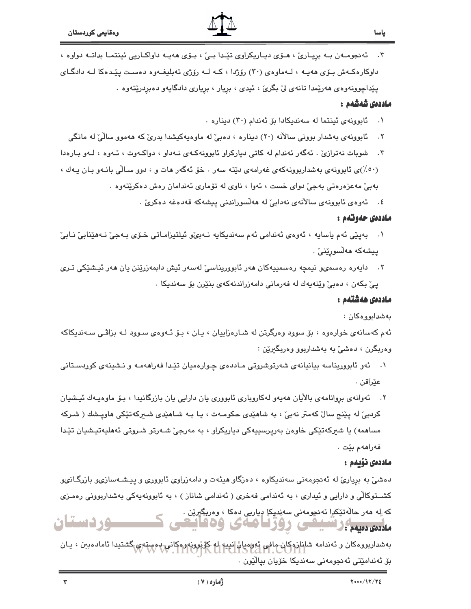۰۳ ته نجومـهن بـه بریـاری ، هـوی دیـاریکراوی تیدا بـی ، بـوی ههیـه داواکـاریی ئینتمـا بداتـه دواوه ، داوکارهکهش بـوّی ههیـه ، لـهماوهی (۳۰) روّژدا ، کـه لـه روّژی تهبلیغـهوه دهسـت ییّدهکا لـه دادگـای پێداچوونهوهی ههرێمدا تانهی لیٌ بگریؒ ، ئیدی ، برِیار ، برِیاری دادگایهو دهبرِدرێتهوه .

#### ماددەى شەشەم :

ياسا

- ئابوونهى ئينتما له سەندېكادا بۆ ئەندام (٣٠) دينارە ٠  $\cdot$
- ئابوونهی بهشدار بوونی سالآنه (۲۰) دیناره ، دهبیؒ له ماوهیهکیشدا بدریؒ که ههموو سالٌیؒ له مانگی  $\cdot$   $\mathsf{r}$
- ۰۳ شوبات نهترازي . ئهگهر ئهندام له كاتي دياركراو ئابوونهكهي نـهداو ، دواكـهوت ، ئـهوه ، لـهو بـارهدا (٥٠٪)ی ئابوونهی بهشداربوونهکهی غهرامهی دێته سهر . خۆ ئەگەر هات و ، دوو سـالی بانــهو بـان پــهك ، بهبی مهعزهرهتی بهجی دوای خست ، ئهوا ، ناوی له تۆماری ئهندامان رهش دهکریتهوه .
	- ٤. ﺋﻪﻭﻩﻱ ﺋﺎﺑﻮﻭﻧﻪﻱ ﺳﺎﻻﻧﻪﻱ ﻧﻪﺩﺍﺑﻲٚ ﻟﻪ ﻫﻪﻟﺴﻮﺭﺍﻧﺪﻧﻲ ﭘﻴﺸﻪﻛﻪ ﻗﻪﺩﻩﻏﻪ ﺩﻩﻛﺮﻯ .

#### ماددەى جەوتەم :

- ١. پەينى ئەم ياسايە ، ئەوەي ئەندامى ئەم سەندىكايە نـەبى، ئيلتيزامـاتى خـۆي بـەجى نـەھێنابى نـابى ييشەكە ھەلسورێنى ٘.
- ۲. دايەرە رەسمىھو نيمچە رەسمىييەكان ھەر ئابووريناسىٚ لەسەر ئيش دابمەزرێنن يان ھەر ئيـشێكى تـرى يئ بكەن ، دەبئ وێنەپەك لە ڧەرمانى دامەزراندنەكەي بنێرن بۆ سەندېكا .

#### ماددەى ھەشتەم :

بەشدابورەكان :

ئهم کهسانهي خوارهوه ، بۆ سوود وهرگرتن له شـارهزاييان ، يـان ، بـۆ ئـهوهي سـوود لـه بزاڤـي سـهنديکاکه وهريگرن ، دهشيٰ به بهشداريوو وهريگيريْن :

- ۰۱ ـ ئەو ئابوورىناسە بيانيانەي شەرتوشروتى مـاددەي چـوارەميان تێدا فەراھەمـە و نـشينەي كوردسـتانى عٽراقن .
- ٢. ئەوانەي بروانامەي بالآيان ھەيەو لەكاروبارى ئابوورى يان دارايى يان بازرگانيدا ، بىۆ ماوەيـەك ئيـشيان کردبیٚ له یێنج سالٚ کهمتر نهبیٰ ، به شاهێدی حکومـهت ، یـا بـه شـاهێدی شـیرکهتێکی هاویـشك ( شـرکه مساهمه) يا شيرکەتێکی خاوەن بەرپرسىيەکی دياريکراو ، بە مەرجیٚ شىەرتو شىروتى ئەھليەتيشيان تێدا فەراھەم بێت .

#### ماددەى ئۆيەم :

دهشی به بریاری له ئهنجومهنی سهندیکاوه ، دهزگاو هیئهت و دامهزراوی ئابووری و پیشـهسازیو بازرگـانیو کشــتوکالّی و دارایی و ئیداری ، به ئەندامی فەخری ( ئەندامی شاناز ) ، بە ئابوونەپەکی بەشداربوونی رەمـزی

#### که له هەر حالّەتێکدا ئەنجومەنى سەپدىكا دِيارىي دەكا ، وەرىگىرێن . **وردستان** مانندی دیپیم از اسپیشی روز تا جه ی و دیایی می

بهشداربووهکان و ئهندامه شانازهکان مافی ئورمیان انبیه له کوپورنهوهکانس وسپتوی گشتیدا ئامادهببن ، یـان بۆ ئەندامێتى ئەنجومەنى سەندىكا خۆيان بياڵێون ٠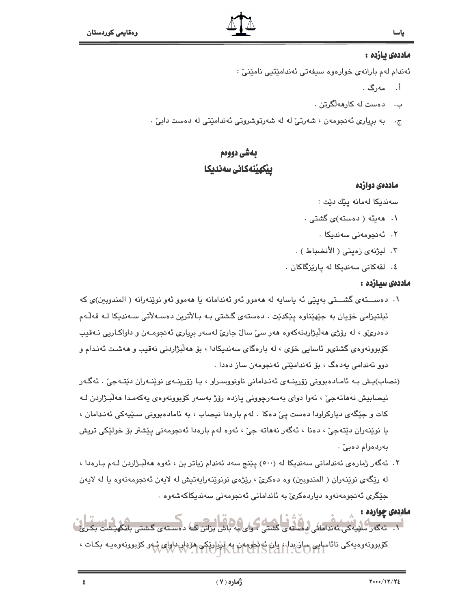#### ماددەى بازدە :

ئەندام لەم بارانەي خوارەوە سىفەتى ئەندامێتىي نامێنىٚ :

- مەرگ . أ.
- ب. دەست لە كارھەلگرتن .
- ج. په برياري ئەنجومەن ، شەرتىٚ لە لە شەرتوشروتى ئەندامێتى لە دەست دابىٚ .

### بەشى دووەم يبكهينهكانى سهندبكا

#### ماددەى دوازدە

سەندىكا لەمانە يێك دێت :

- ۰۱ هه یئه ( دهسته)ی گشتی .
	- ۰۲ ئەنجومەنى سەندىكا ۰
- ٠. ليژنهي زهيتي ( الأنضباط ) .
- ٤. لقەكانى سەندىكا لە يارێزگاكان .

#### ماددەى سيازدە :

- ۰۱ دهســـتهي گشـــتي بهيێي ئه ياسايه له ههموو ئهو ئهندامانه يا ههموو ئهو نوێنهرانه ( المندوبين)ي كه ئيلتيزامي خۆيان به جێهێناوه يێکدێت . دەستەي گشتى بـه بـالأترين دەسـەلأتى سـەندىكا لـه قەڵـەم دهدريږو ، له رۆژي هەلدژاردنەكەوه هەر سىّ سالّ جارىّ لەسەر بريارى ئەنجومـەن و داواكـاريى نـەقىب کۆبوونەوەي گشتىھ ئاسايى خۆي ، لە بارەگاي سەندىكادا ، بۆ ھەلىژاردنى نەقىب و ھەشت ئەنىدام و دوو ئەندامى يەدەگ ، بۆ ئەندامێتى ئەنجومەن ساز دەدا .
- (نصاب)پـش بـه ئامـادەبوونى زۆرپنـەي ئەنـدامانى ناونووسـراو ، پـا زۆرپنـەي نوێنـەران دێتـەجىٚ . ئەگـەر نيصابيش نەھاتەجىؒ ، ئەوا دواى بەسەرچوونى پازدە رۆژ بەسەر كۆبوونەوەى يەكەمدا ھەلّبـژاردن لـﻪ کات و جێگەی دیارکراودا دەست ییّ دەکا . لەم بارەدا نیصاب ، بە ئامادەبوونی سـێیەکی ئەنـدامان ، يا نوێنەران دێتەجىٚ ، دەنا ، ئەگەر نەھاتە جىٚ ، ئەوە لەم بارەدا ئەنجومەنى يێشتر بۆ خولێكى تريش بەردەۋام دەبى".
- ۲. ئەگەر ژمارەي ئەندامانى سەندىكا لە (٥٠٠) يێنج سەد ئەندام زياتر بن ، ئەوە ھەلْبـژاردن لـەم بـارەدا ، له رێگەي نوێنەران ( المندوبين) وه دەكرێ ، رێژەي نونوێنەراپەتيش لە لايەن ئەنجومەنەوە يا لە لايەن جێگری ئەنجومەنەوە دياردەكرێ بە ئاندامانی ئەنجومەنی سەندىكاكەشەوە .

#### ماددهی چوارده :

۔<br>- ۱. ئەگەر سىيەكى ئەندامائى دەستەي كشتى كواي بە باش برانن كـه دەسـتەي گـشتى بانگ کۆبورنەرەيەكى نائاسايى سان بدا ۽ يان ئەنجومەن يە تريارنكى ھۆدان ىراپاى ئەر كۆبورنەرەيـە بكـات ،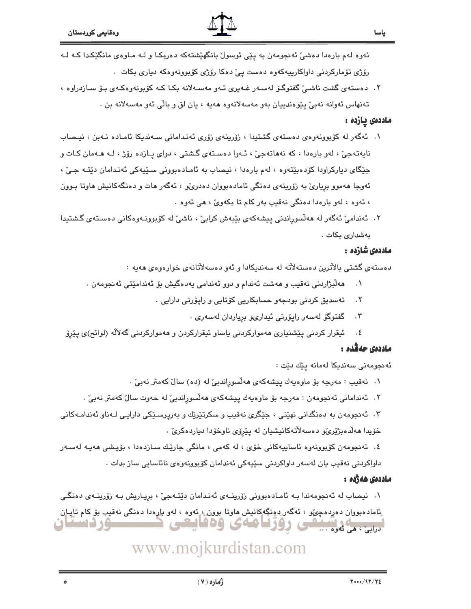ئەوە لەم بارەدا دەشىٰ ئەنجومەن بە يێى ئوسولْ بانگهێشتەكە دەربكـا و لـە مـاوەي مانگێكدا كـە لـە رۆژى تۆماركردنى داواكارىيەكەوە دەست يىّ دەكا رۆژى كۆبوونەوەكە ديارى بكات ٠

۲. دەستەي گشت ناشىيّ گفتوگـۆ لەسـەر غـەيرى ئـەو مەسـەلانە بكـا كـە كۆبونەوەكـەي بـۆ سـازدراوە ، تەنھاس ئەوانە نەبى ييوەندىيان بەو مەسەلانەوە ھەيە ، يان لق و بالّى ئەو مەسەلانە بن .

#### ماددەى يازدە :

- ۱. ئەگەر لە كۆبوونەوەي دەستەي گشتيدا ، زۆرينەي زۆرى ئەنىدامانى سەندىكا ئامـادە نـەبن ، نيـصاب نايەتەجىؒ ، لەو بارەدا ، كە نەھاتەجىؒ ، ئـەوا دەسـتەي گـشتى ، دواي پـازدە رۆژ ، لـە ھـەمان كـات و جێِگای دیارکراودا کۆدەبێتەوە ، لەم بارەدا ، نیصاب بە ئامـادەبوونی سـێیەکی ئەنـدامان دێتـﻪ جـێ ، ئەوجا ھەموو بریاری بە زۆرینەی دەنگی ئامادەبووان دەدری،و ، ئەگەر ھات و دەنگەكانىش ھاوتا بـوون ، ئەوە ، لەو بارەدا دەنگى نەقيب بەر كام تا بكەوئ ، ھى ئەوە .
- ۲. ئەندامیؒ ئەگەر لە ھەڵسوراندنی يیشەکەی بێبەش کرابیؒ ، ناشیؒ لە کۆبوونـەوەکانی دەسـتەی گـشتیدا بەشدارى بكات .

#### ماددەى شازدە :

دهستهی گشتی بالأترین دهستهلأته له سهندیکادا و ئهو دهسهلأتانهی خوارهوهی ههیه :

- هەلدزاردنى نەقىب و ھەشت ئەندام و دوو ئەندامى يەدەگيش بۆ ئەندامێتى ئەنجومەن .
	- تەسدىق كردنى بودجەو حسابكارىي كۆتايى و رايۆرتى دارايى .  $.7$ 
		- گفتوگۆ لەسەر راپۆرتى ئيدارىو برياردان لەسەرى .  $\cdot$   $\mathsf{r}$
- ئيقرار کردني پێشنياري ههموارکردني ياساو ئيقرارکردن و ههموارکردني گهلاُله (لوائح)ي پێرێ  $\cdot$  5

#### ماددەى حەقدە :

ئەنجومەنى سەندىكا لەمانە يێك دێت :

- ۰۱ نەقيب : مەرجە بۆ ماوەيەك پيشەكەي ھەلسوراندىئ لە (دە) سال كەمتر نەبئ .
- ٢. ئەندامانى ئەنجومەن : مەرجە بۆ ماوەپەك پېشەكەي ھەلسوراندېيّ لە حەوت سالٌ كەمتر نەبىّ .

۲. ئەنجومەن بە دەنگدانى نهێنى ، جێگرى نەقيب و سكرتێرێك و بەرپرسىێكى دارايـى لـﻪناو ئەندامـﻪكانى خۆيدا مەلدەبژێرێو دەسەلأتەكانيشيان لە پێرۆى ناوخۆدا دياردەكرێ .

٤. ئەنجومەن كۆبوونەوە ئاساييەكانى خۆى ، لە كەمى ، مانگى جارێك سـازدەدا ، بۆيـشى ھەيـە لەسـەر داواکردنی نەقیب یان لەسەر داواکردنی سێپەکی ئەندامان کۆبورنەوەی نائاسايی ساز بدات ٠

#### ماددەى ھەژدە :

۰۱ نیصاب له ئەنجومەندا بـه ئامـادەبوونى زۆرینـەی ئەنـدامان دێتـەجىٚ ، برِیـاریش بـه زۆرینـەی دەنگـی يئامادەبووان دەردەچى، ، ئەگەر دونگەكانيش ھاوتا بوون ، ئەوە ، لەو بارەدا دەنگى نەقيب بۆ كام تايـان **سی در اسلامی روزنامه ی ودنایتی DEMENT** 

# www.mojkurdistan.com

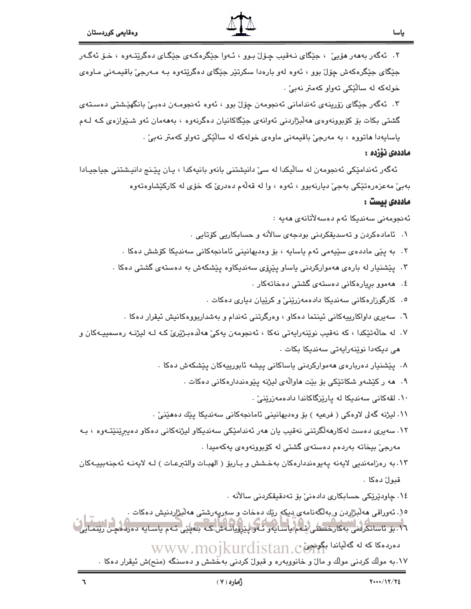۲. ئەگەر بەھەر مۆيىؒ ، جێگاي نـﻪقيب چۆلؒ بـوو ، ئـﻪوا جێگرەكـﻪي جێگـاي دەگرێتـﻪوە ، خـۆ ئەگـﻪر جٽِگاي جٽِگرهکهش چۆلٚ بوو ، ئەوه لەو بارەدا سکرتٽر جٽِگاي دەگرێتەوە بـە مـەرجىٚ باقيمـەنى مـاوەي خولهکه له سالٌێکی تهواو کهمتر نهبیؒ ٠

۳. ئەگەر جێگای زۆرينەی ئەندامانی ئەنجومەن چۆل بوو ، ئەوە ئەنجومـەن دەبـیٚ بانگهێشتی دەسـتەی گشتی بکات بۆ کۆبوونەوەی ھەلْبژاردنی ئەوانەی جێگاکانیان دەگرنەوە ، بەھەمان ئەو شىێوازەی کـﻪ لـﻪم پاسایەدا ھاتووە ، بە مەرجىّ باقيمەنى ماوەي خولەكە لە سالنّيكى تەواو كەمتر نەبىّ .

#### ماددەى ئۆزدە :

ئەگەر ئەندامێکی ئەنجومەن لە ساڵیکدا لە سیٚ دانیشتنی بانەو بانیەکدا ، یـان پێىنج دانیـشتنی جیاجیـادا بهېيٌ مهعزهرهتێکي بهجيٌ ديارنهبوو ، ئهوه ، وا له قهڵهم دهدريٌ که خوّي له کارکێشاوهتهوه

#### ماددەى بيست :

ئەنجومەنى سەندىكا ئەم دەسەلأتانەي ھەيە :

- ۰۱ ئامادەكردن و تەسدىقكردنى بودجەي سالآنە و حسابكارىي كۆتايى ۰
- ۲. به پێی ماددهی سێیهمی ئهم یاسایه ، بۆ وەدیهانینی ئامانجهکانی سەندیکا کۆشش دەکا .
- ۰۳ پیشنیار له بارهی ههموارکردنی یاساو پیروی سهندیکاوه پیشکهش به دهستهی گشتی دهکا .
	- ٤. هەموو بريارەكانى دەستەي گشتى دەخاتەكار .
	- ٥. كارگوزارەكانى سەندىكا دادەمەزرێنىٚ وكرێيان ديارى دەكات .
	- ٦. سەيرى داواكارىيەكانى ئىنتما دەكاو ، وەرگرتنى ئەندام و بەشداربووەكانىش ئىقرار دەكا .
- ۷. له حالّهتێکدا ، که نهقیب نوێنەرایەتی نەکا ، ئەنجومەن یەکیٚ مەلّدەبىژێریٚ کـه لـه لیژنـه رەسمىيـەکان و می دیکەدا نوێنەراپەتی سەندیکا بکات ٠
	- ۰۸ پێشنیار دەربارەی ھەموارکردنی یاساکانی پیشە ئابورىيەكان پێشكەش دەكا ۰
		- ۹. هه رکێشهو شکاتێکی بۆ بێت هاوالهی لیژنه یێوهنددارهکانی دهکات .
			- ۱۰. لقەكانى سەندىكا لە يارێزگاكاندا دادەمەزرێنىٚ ۰
	- ۱۱. لیژنه گەلی لاوەکی ( فرعیه ) بۆ وەدىھانینی ئامانجەکانی سەندیکا یێك دەھێنیٚ .
- ۱۲. سەيرى دەست لەكارمەلگرتنى نەقيب يان مەر ئەندامێكى سەندىكاو ليژنەكانى دەكاو دەيبرێنێتەوە ، بـە مەرجىٰ بيخاتە بەردەم دەستەى گشتى لە كۆبورنەوەى يەكەميدا .
- ١٣. به رەزامەندىي لايەنە يەيوەنددارەكان بەخشش و بـاربۆ ( الهبـات والتبرعـات ) لـه لايەنـه ئەجنەبييـەكان قبولٌ دهكا ٠
	- ١٤. چاودێرێکی حسابکاری دادەنیٚ بۆ تەدقىقکردنی سالآنە ٠

٥﴿. ئەوراقى ھەڵبژاردىن ٯ بەلگەنامەي دىكە رێك دەخات و سەريەرشتى ھەڵبژاردىنيش دەكات . ٠١٦.<br>٠١٦. بۆ ئاسانكراننى بەكارخستلى ئىلەم ياسايەر ئەر پيرۇيانىەش.كە بىلېينى ئەم ياسايە دەردەچىن ر

WWW.MOIKurdistan.com ۱۷.به مولّك كردنى مولّك و مالٌ و خانوويهره و قبولٌ كردنى بهخّشش و دهسنگه (منح)ش ئيقرار دهكا ٠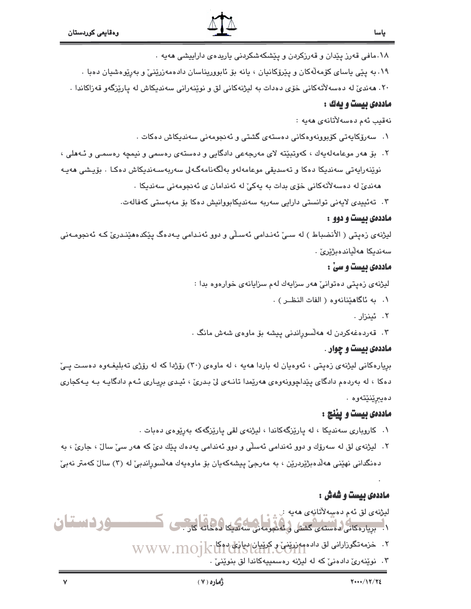

۱۸.مافی قەرز يێدان و قەرزكردن و يێشكەشكردنی ياريدەی داراييشى ھەيە ٠

۱۹. به ییّی یاسای کۆمەلّەکان و ییّرۆکانیان ، یانه بۆ ئابووریناسان دادەمەزرینیّ و بەریّوەشیان دەبا .

۲۰. هەندىّ لە دەسەلاتەكانى خۆى دەدات بە ليژنەكانى لق و نوێنەرانى سەندىكاش لە پارێزگەو قەزاكاندا .

#### ماددهی بیست و یهك :

ياسا

نەقيب ئەم دەسەلاتانەي ھەيە :

- ۰۱ سەرۆكاپەتى كۆپوۋنەۋەكانى دەستەي گشتى و ئەنجومەنى سەندىكاش دەكات .
- ۲. بۆ ھەر موعامەلەيەك ، كەوتبێتە لاى مەرجەعى دادگايى و دەستەي رەسمى و نيمچە رەسمى و ئـەھلى ، نوێنەراپەتى سەندېكا دەكا و تەسدېقى موعامەلەو بەلگەنامەگـەلى سەربەسـەندېكاش دەكـا . بۆيىشى ھەيـە مەندىّ لە دەسەلاتەكانى خۆى بدات بە يەكىّ لە ئەندامان ى ئەنجومەنى سەندىكا .
	- ۴. تەئييدى لايەنى توانستى دارايى سەربە سەندىكابووانيش دەكا بۆ مەبەستى كەڧالەت.

#### ماددهی بیست و دوو :

لیژنهی زەپتی ( الأنضباط ) له سیّ ئەندامی ئەسلّی و دوو ئەندامی پـەدەگ پێکدەھێنـدریؒ کـه ئەنجومـەنی سەندىكا ھەلياندەبژێرێ .

#### ماددهی بیست و سی :

لیژنهی زهیتی دهتوانیؒ ههر سزایهك لهم سزایانهی خوارهوه بدا :

- ۰۱ به ئاگاهێنانهوه (الفات النظـر) .
	- ٢. ئىنزار .
- ۰۳ قهردهغهکردن له ههانسوراندنی پیشه بو ماوهی شهش مانگ .

#### **ماددهی بیست و چوار .**

بریارهکانی لیژنهی زهیتی ، ئهوهیان له باردا ههیه ، له ماوهی (٣٠) روِّژدا که له روِّژی تهبلیغهوه دهست ییّ دهکا ، له بهردهم دادگای پێداچوونهوهی ههرێمدا تانـهی لی بـدری ، ئیـدی بریـاری ئـهم دادگایـه بـه یـهکجاری دەيبرێنێتەوە .

#### ماددهی بیست و یینتج :

- ۰۱ کاروباری سەندىكا ، لە يارێزگەكاندا ، ليژنەی لقى يارێزگەكە بەرێوەی دەبات .
- ۲۰ لیژنهی لق له سهرۆك و دوو ئەندامی ئەسلّی و دوو ئەندامی یەدەك پێك دێ كه هەر سیّ سالّ ، جاریّ ، بە دەنگدانى نهێنى ھەڵدەبژێردرێن ، بە مەرجىٚ پيشەكەپان بۆ ماوەپەك ھەڵسوراندبىٚ لە (٣) سالٚ كەمتر نەبىٚ

#### ماددهی بیست و شهش :

ليژنەى لق ئەم دەسەلأتانەى ھەيە :<sub>ب</sub> **-9 د دستان** ۰۱. بریاره کانی دهستهی گشتی و نه مومه نی شه تد کار دهانه کان

- ٢. خزمه تكوزارانى لق دادهمه زرينغ و كرييان ديارى دو WWW.MOTK
	- ۴. نوێنەرێ دادەنیٚ کە لە لیژنە رەسمىيەکاندا لق بنوێنیٚ .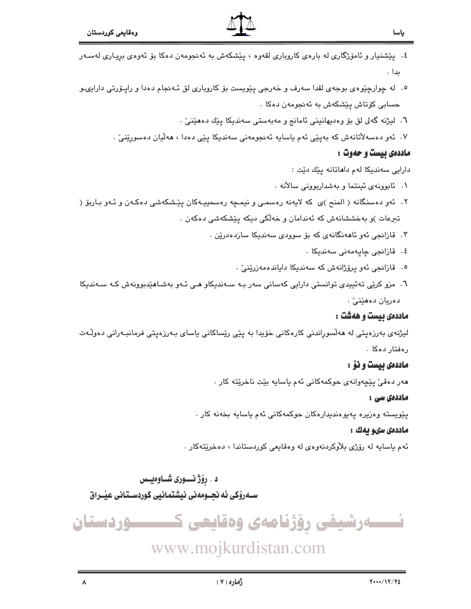- ٤. پێشنیار و ئامۆژگاری له بارهی کاروباری لقهوه ، پێشکهش به ئهنجومهن دهکا بۆ ئەوەی بریـاری لهسـهر بدا .
- ٥. له چوارچێوه ی بوجه ی لقدا سهرف و خهرجی پێویست بۆ کاروباری لق ئـهنجام دهدا و راپـۆرتی دارایىـو حسابی کۆتاش يێشکەش بە ئەنجومەن دەکا ٠
	- ٦. ليژنه گەلى لق بۆ وەدىھانىنى ئامانج و مەبەستى سەندىكا يێك دەھێنىٚ .
	- ۰۷ ئەو دەسەلأتانەش كە بەپێى ئەم ياسايە ئەنجومەنى سەندىكا پێى دەدا ، ھەلّيان دەسورِێنىٚ .

#### ماددهی بیست و حدوت :

دارايى سەندىكا لەم داھاتانە يێك دێت:

- ۰۱ ئابوونەي ئېنتما و بەشداربوونى سالانە .
- ۲. ئەو دەسنگانە ( المنح )ى كە لايەنە رەسمىي و نيمـﭽە رەسمىيـﻪكان پێشكەشى دەكـﻪن و ئـﻪو بـﺎربۆ ( تبرعات )و بەخششانەش كە ئەندامان و خەلكى دىكە يێشكەشى دەكەن .
	- ۴. قازانجی ئەو ئاھەنگانەی كە بۆ سوودی سەندىكا سازدەدرێن .
		- ٤٠ قازانجى چاپەمەنى سەندىكا ٠
		- ٥. قازانجى ئەو پرۆژانەش كە سەندىكا داياندەمەزرێنى،
- ٦. مزو کرێی تەئیپدی توانستی دارایی کەسانی سەر بـه سـەندیکاو مـی ئـەو بەشـامێدبوونەش کـه سـەندیکا دەريان دەھێنىٚ .

#### ماددهی بیست و ههشت :

لیژنهی بهرزهپتی له ههڵسورِاندنی کارهکانی خوّیدا به پِیّی ریّساکانی یاسای بـهرزهپتی فرمانبـهرانی دهولّـهت رەڧتار دەكا .

#### ماددهی بیست و نؤ :

مەر دەقى پێچەوانەي حوكمەكانى ئەم ياسايە بێت ناخرێتە كار .

#### ماددەى سى :

پێویسته وهزیره پهیوهندیدارهکان حوکمهکانی ئهم یاسایه بخهنه کار .

#### ماددەى سىو يەك :

ئهم ياسايه له رۆژى بلاوكردنهوهى له وهقايعى كوردستاندا ، دەخريتهكار .

## د . رۆژ نـــورى شــاوەيــس ســهروْکی ئه نجــومهنی نیشتمانیی کوردســتـانی عیـْــراق

ئىسسەرشيفى رۆژنامەى وەقايعى كىسسسوردستان

# www.mojkurdistan.com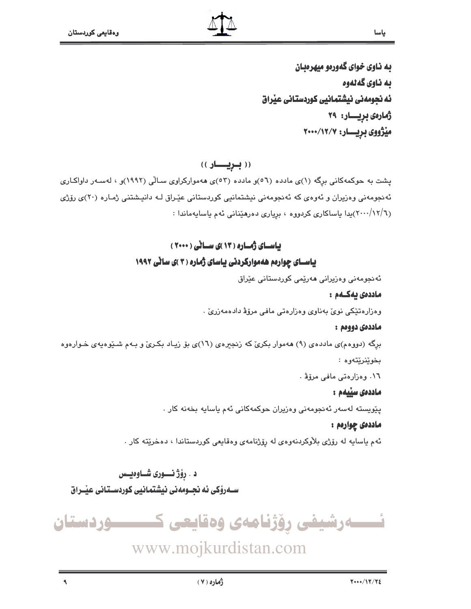به ناوي خواي گهورمو ميهرمبان به ناوي گەلەوە نه نجومهنی نیشتمانیی کوردستانی عیراق ژمارەى بريسار: ٢٩ میژووی بریسار: ۲۰۰۰/۱۲/۰۰۰

(( بریسار ))

پشت به حوکمهکانی برگه (۱)ی مادده (٥٦)و مادده (٥٣)ی ههموارکراوی سـالّی (١٩٩٢)و ، لهسـهر داواکـاری ئهنجومهنی وهزیران و ئهوهی که ئهنجومهنی نیشتمانیی کوردستانی عیدراق لـه دانیشتنی ژمـاره (۲۰)ی رۆژی (٢٠٠٠/١٢/٦)پدا پاساکاری کردووه ، بریاری دهرهیدانی ئهم پاسایهماندا :

### باسای ژماره (۱۳)ی سانی (۲۰۰۰)

#### یاسای چوارهم ههموارکردنی یاسای ژماره (۳)ی سانی ۱۹۹۲

ئەنجومەنى وەزيرانى ھەرپمى كوردستانى عيراق

#### ماددەى يەكــەم :

وەزارەتێكى نوێ بەناوي وەزارەتى مافى مرۆۋ دادەمەزرێ .

#### ماددەى دووەم :

برگه (دووهم)ی ماددهی (۹) ههموار بکری که زنجیرهی (۱۲)ی بۆ زیاد بکری و بـهم شـنوهیهی خـوارهوه بخوێنرێتەوە :

١٦. وەزارەتى مافى مرۆۋ .

#### ماددەى سىيەم :

يێويسته لەسەر ئەنجومەنى وەزيران حوكمەكانى ئەم ياسايە بخەنە كار .

#### ماددهۍ چوارهم :

ئهم ياسايه له رۆژى بلاوكردنهوەي له رۆژنامهى وەقايعى كوردستاندا ، دەخرێتە كار .

د . رۆژ نـــورى شــاوەيــس ســهرۆکی ئه نجــومهنی نیشتمانیی کوردســتـانی عیّــراق

ئــــــەرشيفى رۆژنامەي وەقايعى ك ـــوردستان

www.mojkurdistan.com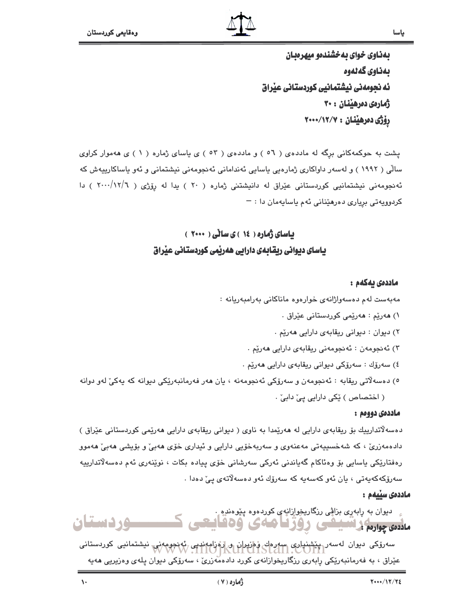بهناوی خوای بهخشندهو میهرهبان بەناوى گەنەوە ئه نجومەنى نيشتمانيى كوردستانى عيراق ژماروی دورهننان : ۳۰ رۆژى دەرھينان : ٧/٧/٠٠٠/١٢

پشت به حوکمهکانی برگه له ماددهی ( ٥٦ ) و ماددهی ( ٥٣ ) ی پاسای ژماره ( ١ ) ی ههموار کراوی سالی ( ۱۹۹۲ ) و لهسهر داواکاری ژمارهیی پاسایی ئهندامانی ئهنجومهنی نیشتمانی و ئهو پاساکاریپهش که ئەنجومەنى نيشتمانيى كوردستانى عيّراق لە دانيشتنى ژمارە ( ٢٠ ) بدا لە رۆژى ( ٢٠٠٠/١٢/٦ ) دا کردوویهتی بریاری دهرهینانی ئهم یاسایهمان دا : -

### بیاسای ژماره ( ١٤ )ی سائی ( ٢٠٠٠ ) یاسای دیوانی ریقابهی دارایی هەریمی کوردستانی عیراق

#### ماددەى يەكەم :

مەبەست لەم دەسەواژانەي خوارەوە ماناكانى بەرامبەريانە :

- ۱) <mark>م</mark>ەرێم : مەرێمى كوردستانى عێراق .
- ٢) دیوان : دیوانی ریقابهی دارایی ههریم .
- ۳) ئەنجومەن : ئەنجومەنى ريقابەي دارايى ھەرپە .
- ٤) سەرۆك : سەرۆكى دېوانى رېقابەى دارايى ھەرێم .
- ٥) دەسەلاتى ريقابە : ئەنجومەن و سەرۆكى ئەنجومەنە ، يان ھەر فەرمانبەرێكى دېوانە كە يەكى ّلەو دوانە ( اختصاص ) یکی دارایی یی دابی .

#### ماددەي دوومم :

دەسەلاتدارییك بۆ ریقابەی دارایی لە ھەرپمدا بە ناوی ( دیوانی ریقابەی دارایی ھەرپمی كوردستانی عیّراق ) دادهمەزریؒ ، کە شەخسىييەتى مەعنەوی و سەربەخۆيى دارايى و ئيدارى خۆی ھەبیؒ و بۆيشى ھەبیؒ ھەموو رەفتارێکى باسايى بۆ وەئاكام گەياندنى ئەركى سەرشانى خۆي پيادە بكات ، نوێنەرى ئەم دەسەلاتدارىيە سەرۆكەكەپەتى ، يان ئەو كەسەپە كە سەرۆك ئەو دەسەلاتەي يى دەدا .

#### ماددەى سۆيەم :

ِ ديوان به رابهړي بزاقي رزگاريخوازانهي کوردهوه يێوهندو ِ. ــوردستان مانسی چوارهم و تسبیعی و وژنیا صه ی قره قاییعی ک

سەرۆكى ديوان لەسەر يېشىنيارى سەرەك ۋەزىران و ارەزلەيدىيى ئەنچومەنى نيشتمانىي كوردستانى عێراق ، به فەرمانبەرێکى رابەرى رزگاريخوازانەي کورد دادەمّەزرىّ ، سەرۆکى ديوان يلەي وەزيريى ھەيە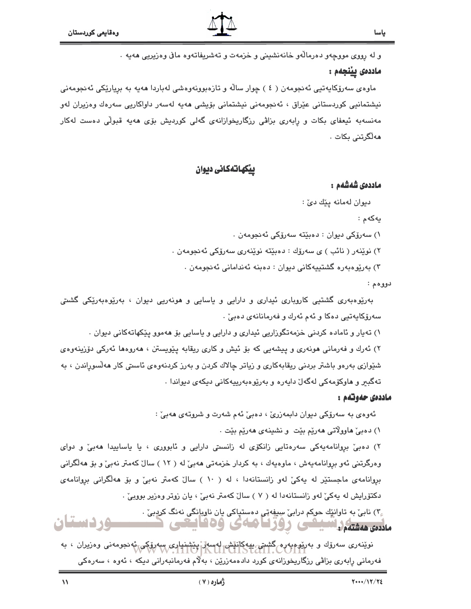و له رووي مووچهو دهرمالّهو خانهنشيني و خزمهت و تهشريفاتهوه مافي وهزيريي ههيه ٠

#### ماددەى يېنجەم :

ماوەي سەرۆكاپەتيى ئەنجومەن ( ٤ ) چوار سالّە و تازەبوونەوەشى لەباردا ھەپە بە برپارێكى ئەنجومەنى نیشتمانیی کوردستانی عیّراق ، ئەنجومەنی نیشتمانی بۆیشی ھەیە لەسەر داواکاریی سەرەك وەزیران لەو مەنسەبە ئ**يع**فاى بكات و رابەرى بزاڤى رزگاريخوازانەى گەلى كوردىش بۆى ھەيە قبولى دەست لەكار ھەلگرتنى بكات .

#### بیکهانهکانی دیوان

#### ماددەى شەشەم :

ديوان لهمانه يێك دئ :

يەكەم:

١) سەرۆكى ديوان : دەبێتە سەرۆكى ئەنجومەن .

۲) نوێنەر ( نائب ) ی سەرۆك : دەبێتە نوێنەری سەرۆکی ئەنجومەن .

۳) بەريوەبەرە گشتېپەكانى دېوان : دەبنە ئەندامانى ئەنجومەن .

دووهم :

بهرێوهبهری گشتیی کاروباری ئیداری و دارایی و یاسایی و هونهریی دیوان ، بهرێوهبهرێکی گشتی سەرۆكاپەتيى دەكا و ئەم ئەرك و فەرمانانەى دەبىؒ ٠

۱) تەيار و ئامادە كردنى خزمەتگوزاريى ئيدارى و دارايى و ياسايى بۆ ھەموو پێكھاتەكانى ديوان .

۲) ئەرك و فەرمانى ھونەرى و پيشەپى كە بۆ ئىش و كارى ريقابە پێويستن ، ھەروەھا ئەركى دۆزىينەوەي شێوازی بهرهو باشتر بردنی ریقابهکاری و زیاتر چالاك کردن و بهرز کردنهوهی ئاستی کار ههڵسوراندن ، به تەگبىر و ھاوكۆمەكى لەگەل دايەرە و بەريوەبەرييەكانى دېكەي دېواندا .

ماددەي حەوتەم :

ئەوەي بە سەرۆكى ديوان دابمەزرىّ ، دەبىّ ئەم شەرت و شروتەي ھەبىّ :

۱) دهبيٌ هاوولاتي هەرێم بێت ۖ و نشينهي هەرێم بێت .

۲) دهبیؒ بروانامهیهکی سهرهتایی زانکوّی له زانستی دارایی و ئابووری ، یا یاساییدا ههبیؒ و دوای وەرگرتنى ئەو بروانامەيەش ، ماوەيەك ، بە كردار خزمەتى ھەبىّ لە ( ١٢ ) سالٌ كەمتر نەبىّ و بۆ ھەلگرانى بروانامهی ماجستیْر له یهکیٌ لهو زانستانهدا ، له ( ١٠ ) سالٌ کهمتر نهبیٌ و بوّ ههلگرانی بروانامهی دکتۆرايش له يەكىٌ لەو زانستانەدا لە ( ٧ ) سالٌ كەمتر نەبىٌ ، يان زوتر وەزير بووبىٌ .

۲) نابيٰ به تاوانێك حوكم درابيٰ سِيفهتِي دەستپاكى يان ناوبانگى نەنگ كردِبيْ . وردستان مادەي مەشتەرلىسىگىي روزنا ھەي ۋەقايىتى ك

نوټنەرى سەرۆك و بەرتومبەرە گشتى يەكانلىش لەسەل يېشنيارى سەرۆكى ئەنجومەنى وەزيران ، بە فەرمانى رابەرى بزاڤى رزگاريخوزانەي كورد دادەمەزرێن ، بەلّام فەرمانبەرانى دىكە ، ئەوە ، سەرەكى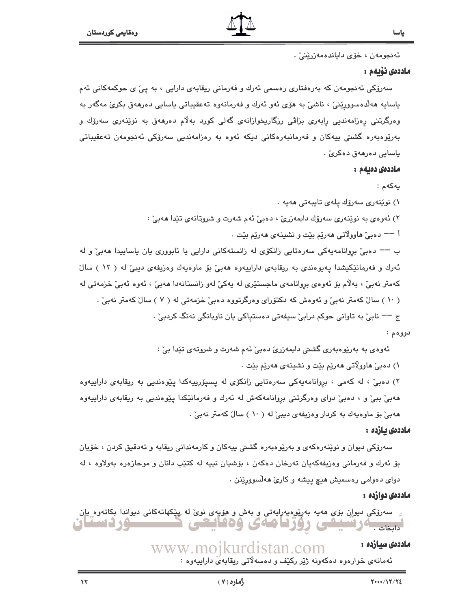ئەنجومەن ، خۆى داياندەمەزرينى .

#### ماددەى ئۆيەم :

سەرۆكى ئەنجومەن كە بەرەڧتارى رەسىمى ئەرك و ڧەرمانى ريقابەي دارايى ، بە يىّ ى حوكمەكانى ئەم ياسايه هەلدەسوورپينى ، ناشى ببە ھۆى ئەو ئەرك و فەرمانەوە تەعقيباتى ياسايى دەرھەق بكرى مەگەر بە وەرگرتنى رەزامەندىي رابەرى بزاقى رزگاريخوازانەي گەلى كورد بەلام دەرھەق بە نوێنەرى سەرۆك و بەرێوەبەرە گشتى بيەكان و فەرمانبەرەكانى دېكە ئەوە بە رەزامەندىي سەرۆكى ئەنجومەن تەعقىباتى ياسايى دەرھەق دەكرىّ ٠

#### ماددەى دەبەم :

يەكەم :

۱) نوێنەرى سەرۆك يلەى تايبەتى ھەيە ٠

۲) ئەوەي بە نوێنەرى سەرۆك دابمەزرىّ ، دەبىّ ئەم شەرت و شروتانەي تێدا ھەبىّ :

أ —– دەبئ ھاوولاتى ھەرپم بيْت و نشينەي ھەرپم بيْت ٠

ب –– دەبى بروانامەيەكى سەرەتايى زانكۆى لە زانستەكانى دارايى يا ئابوورى يان ياساييدا ھەبى و لە ئەرك و فەرمانێكيشدا پەيوەندى بە ريقابەى داراييەوە ھەبى بۆ ماوەيەك وەزيفەى ديبى لە ( ١٢ ) سالٌ كەمتر نەبىٰ ، بەلام بۆ ئەوەي بروانامەي ماجستێرى لە يەكىٰ لەو زانستانەدا ھەبىٰ ، ئەوە ئەبىٰ خزمەتى لە ( ۱۰ ) سالٌ کهمتر نهبیؒ و ئهوهش که دکتوّرای وهرگرتووه دهبیؒ خزمهتی له ( ۷ ) سالؒ کهمتر نهبیؒ ۰ ج —– نابيؒ به تاواني حوکم درابيؒ سيفهتي دهستياکي پان ناوبانگي نهنگ کردبيؒ .

دووهم :

ئەوەي بە بەرێوەبەرى گشتى دابمەزرىّ دەبىّ ئەم شەرت و شروتەي تێدا بىّ :

۱) دهبیؒ هاوولاتی هەریم بیّت و نشینهی هەریْم بیّت .

۲) دهبیٚ ، له کهمی ، بروانامهیهکی سهرهتایی زانکۆی له پسپۆرییهکدا پێوهندیی به ریقابهی داراییهوه ههبيّ ببيّ و ، دهبيّ دواي وهرگرتني بروانامهکهش له ئهرك و فهرمانێکدا پێوهنديي به ريقابهي داراپيهوه ههېئ بۆ ماوهيهك به كردار وهزيفهى ديبئ له ( ١٠ ) سالٌ كهمتر نهېێ .

#### ماددەى يازدە :

سهرۆکی دیوان و نوێنەرەکەی و بەرێوەبەرە گشتی ييەکان و کارمەندانی ریقابە و تەدقىق کردن ، خۆيان بِقِ ئَهرِك و فهرماني وهزيفهكهيان تهرخان دهكهن ، بۆشيان نيپه له كتيْب دانان و موحازەرە بەولاوە ، له دوای دەوامی رەسمیش هیچ پیشه و کاریؒ هەلّسوورێنن .

#### ماددەي دوازدە :

ءِ سەرۆكى ديوان بۆي ھەيە بەرپوپەياپەتى و بەش و ھۆپەي نوێ لە پێكھاتەكانى ديواندا بكاتەوە يان يتى روزنامەي وەئايتى **DEMENT** دایخات <del>۱۰۰۰ کی آنا</del>د

#### ماددەى سيازدە :

### www.moikurdistan.com

ئهمانهي خوارهوه دهكهونه ژێر رکێف و دهسهلاتي ريقابهيّ دارابيهوه :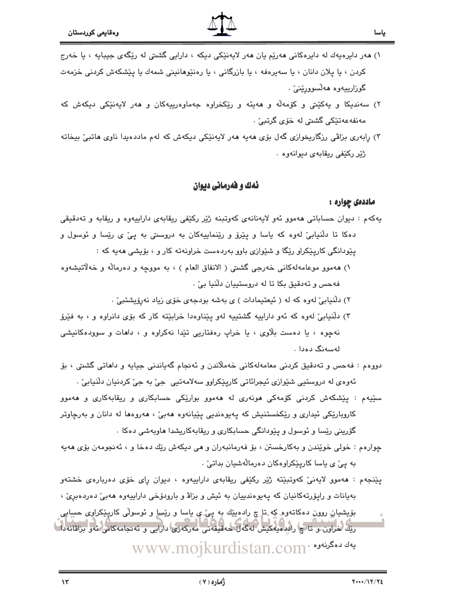- ۱) هەر دايرەيەك لە دايرەكانى ھەرپم يان ھەر لايەنپكى دېكە ، دارايى گشتى لە ريگەي جيبايە ، يا خەرج كردن ، يا پلان دانان ، يا سەپرەفە ، يا بازرگانى ، يا رەنێوھانينى شمەك يا پێشكەش كردنى خزمەت گوزارييەوە ھەلسىوورينى .
- ۲) سەندىكا و يەكێتى و كۆمەڵە و ھەيئە و رێكخراوە جەماوەرىيەكان و ھەر لايەنێكى دىكەش كە مەنفەعەتێكى گشتى لە خۆي گرتبى ْ .
- ۳) رابەری بزاڤی رزگاریخوازی گەل بۆی ھەیە ھەر لایەنێکی دیکەش کە لەم ماددەیدا ناوی ھاتبیؒ بیخاتە ژێر رکێفی ریقابهی دیوانهوه ٠

#### **ئهك و هُهرماني ديوان**

#### ماددەى چوارە :

- پهکهم : دیوان حساباتی ههموو ئهو لایهنانهی کهوتبنه ژێر رکێفی ریقابهی داراییهوه و ریقابه و تهدقیقی دهکا تا دلَّنیابیؒ لهوه که یاسا و پێرۆ و رێنماییهکان به دروستی به پیؒ ی رێِسا و ئوسول و پێودانگی کارپێکراو رێگا و شێوازی باوو بهردهست خراونهته کار و ، بۆیشی ههیه که :
- ۱) ههموو موعامهلهکانی خەرجی گشتی ( الانفاق العام ) ، به مووچه و دەرمالّه و خەلاتيشەوە فهحس و تهدقيق بکا تا له دروستييان دلّنيا بيّ .
	- ۲) دلنیابی لهوه که له ( ئیعتیمادات ) ی بهشه بودجهی خوّی زیاد نهرویشتبی .
- ۳) دلَّنیابیٌ لهوه که ئهو داراییه گشتییه لهو پێناوهدا خرابێته کار که بۆی دانراوه و ، به فێرۆ نهچوه ، یا دهست بلاوی ، یا خراپ رهفتاریی تێدا نهکراوه و ، داهات و سوودهکانیشی لەسەنگ دەدا .
- دووهم : فەحس و تەدقیق کردنی معامەلەکانی خەملاندن و ئەنجام گەپاندنی جیایە و داھاتی گشتی ، بۆ ئەوەي لە دروستيى شێوازى ئيجرائاتى كارپێكراوو سەلامەتيى جيّ بە جيّ كردنيان دڵنيابيّ .
- سێپهم : پێشکهش کردنی کۆمەکی هونەری له هەموو بوارێکی حسابکاری و ریقابەکاری و هەموو کاروبارێکی ئیداری و رێکخستنیش که پهیوهندیی پێیانهوه ههبیّ ، ههروهها له دانان و بهرچاوتر گۆرینی رێِسا و ئوسول و پێودانگی حسابکاری و ریقابهکاریِشدا هاوبهشی دهکا ٠
- چوارهم : خولي خوێندن و بهکارخستن ، بۆ فەرمانبەران و هي ديکەش رێك دەخا و ، ئەنجومەن بۆي ھەيە به ییٚ ی یاسا کاریێکراوهکان دەرمالّەشیان بداتیٚ .
- يێنجهم : ههموو لايهنيّ كهوتبێته ژێر ركێفى ريقابهى داراييهوه ، ديوان راى خۆى دەربارەى خشتهو بهیانات و راپۆرتەكانیان كە پەيوەندىيان بە ئىش و بزاۋ و بارودۆخى داراييەوە ھەبى دەردەبرى ،
- بۆيشيان روون دەكاتەوە كە تاچ رادەيێك بە پيّ ي ياسا و رێسا و ئوسولى كارپێكراوى حسابى ريك حراون و تاج راندەپەكىش لەگەل جەقىقەتى مەركەزى دارايى و ئەنجامەكانى ئەو بزاۋانەدا )

WWW.mojkurdistan.com· يەك دەكرنەوە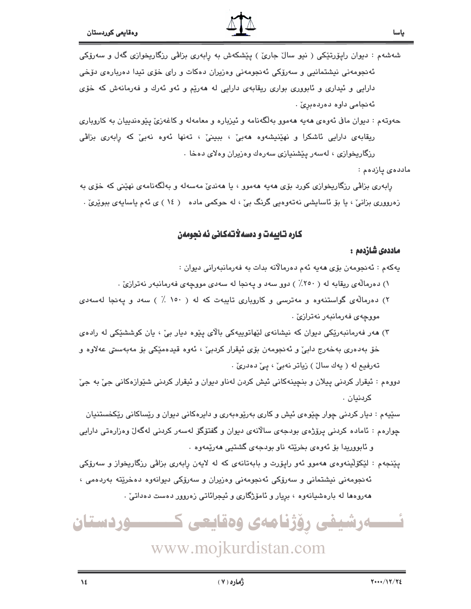- شهشهم : دیوان راپۆرتێکی ( نیو سالٌ جاریٌ ) پێشکهش به رابهری بزاڤی رزگاریخوازی گهل و سهرۆکی ئەنجومەنى نيشتمانيى و سەرۆكى ئەنجومەنى وەزيران دەكات و راى خۆى تيدا دەربارەى دۆخى دارایی و ئیداری و ئابووری بواری ریقابهی دارایی له ههریم و ئهو ئهرك و فهرمانهش كه خوّی ئەنجامى داوە دەردەبرىؒ ٠
- حەوتەم : ديوان مافى ئەوەي ھەيە ھەموو بەلگەنامە و ئيزبارە و معامەلە و كاغەزىّ يـێوەندىيان بە كاروبارى ریقابهی دارایی ناشکرا و نهینیشهوه ههبی ، ببینی ، تهنها ئهوه نهبی که رابهری بزاشی رزگاریخوازی ، لهسهر یێشنیازی سهرهك وهزیران وهلای دهخا ٠

ماددەى يازدەم :

رابەرى بزاڤى رزگاريخوازى كورد بۆي ھەيە ھەموو ، يا ھەندىٰ مەسەلە و بەلگەنامەي نھێنى كە خۆي بە زەروورى بزانىؒ ، يا بۆ ئاسايشى نەتەوەيى گرنگ بىؒ ، لە حوكمى مادە ( ١٤ ) ى ئەم ياسايەى ببوێرىؒ .

#### کاره تاییهت و دهسه لاتهکانی نه نحومهن

#### ماددەى شازدەم :

يەكەم : ئەنجومەن بۆي ھەيە ئەم دەرمالانە بدات بە فەرمانبەرانى ديوان :

- ۱) دهرمالهی ریقابه له ( ۲۵۰٪ ) دوو سهد و پهنجا له سهدی مووچهی فهرمانبهر نهترازیّ .
- ۲) دهرمالهی گواستنهوه و مهترسی و کاروباری تایبهت که له ( ۱۰۰ ٪ ) سهد و یهنجا لهسهدی مووچەي فەرمانبەر نەترازى .
- ۳) هەر فەرمانبەرێِکى دىيوان کە نيشانەي لێهاتوپيەکى بالای پێوە ديار بىٚ ، يان کوششێکى لە رادەی خۆ بەدەرى بەخەرج دابى و ئەنجومەن بۆى ئېقرار كردېي ، ئەوە قېدەمێكى بۆ مەبەستى عەلاوە و تەرفيم لە ( يەك سالٌ ) رياتر نەبىؒ ، يىؒ دەدرىؒ ٠
- دووهم : ئيقرار كردني پيلان و بنچينهکاني ئيش کردن لهناو ديوان و ئيقرار کردني شێوازهکاني جيّ به جيّ كردنيان .

سێپهم : دیار کردنی چوار چێوهی ئیش و کاری بهرێوهبهری و دایرهکانی دیوان و رێساکانی رێِکخستنیان

چوارەم : ئامادە كردنى پرۆژەي بودجەي سالانەي ديوان و گفتۆگۆ لەسەر كردنى لەگەل وەزارەتى دارايى و ئابووريدا بۆ ئەوەي بخرێتە ناو بودجەي گشتيى ھەرێمەوە ٠

پێنجهم : لَيْکَوْلَيْنَهُوهِي ههموو ئهو رايۆرت و بابهتانهی که له لايهن رابهري بزاڤي رزگاريخواز و سهرۆکي ئەنجومەنى نيشتمانى و سەرۆكى ئەنجومەنى وەزيران و سەرۆكى ديوانەوە دەخرێتە بەردەمى ، هەروەھا لە بارەشيانەوە ، بږيار و ئامۆژگارى و ئىجرائاتى زەروور دەست دەداتىٚ .

۔ دشیفی روّژنامەی وەقايعی كـــــــــوردستان www.mojkurdistan.com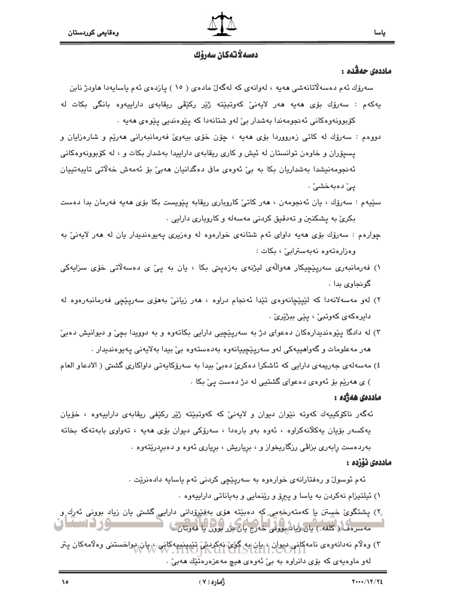

#### دەسەلاتەكان سەرۆك

#### ماددەى حەقدە :

ياسا

سەرۆك ئەم دەسەلاّتانەشى ھەيە ، لەوانەي كە لەگەلْ مادەي ( ١٥ ) يازدەي ئەم ياسايەدا ھاودژ نابن

- يەكەم : سەرۆك بۆى ھەيە ھەر لايەنىؒ كەوتبێتە ژێر ركێڤى ريقابەى داراييەوە بانگى بكات لە کۆبوونەوەکانى ئەنجومەندا بەشدار بىّ لەو شتانەدا کە پێوەندىي پێوەي ھەپە ٠
- دووهم : سەرۆك لە كاتى زەرووردا بۆى ھەيە ، چۆن خۆى بيەوئ فەرمانبەرانى ھەرێم و شارەزايان و پسیۆران و خاوهن توانستان له ئیش و کاری ریقابهی داراییدا بهشدار بکات و ، له کوبوونهوهکانی ئەنجومەنيشدا بەشداريان بكا بە بىؒ ئەوەي ماڧى دەگدانيان ھەبیؒ بۆ ئەمەش خەلاتى تايبەتييان ییؒ دەبەخشىؒ ٠

سێڀەم : سەرۆك ، يان ئەنجومەن ، ھەر كاتىٚ كاروبارى ريقابە پێويست بكا بۆى ھەيە فەرمان بدا دەست بکریّ به پشکنین و تهدقیق کردنی مهسهله و کاروباری دارایی .

- چوارهم : سهرۆك بۆى هەيە داواى ئەم شتانەى خوارەوە لە وەزيرى يەيوەنديدار يان لە ھەر لايەنىْ بە وەزارەتەۋە نەبەسترابى ، بكات :
- ۱) فەرمانبەرى سەرپێچيكار ھەوالّەي ليژنەي بەزەپىتى بكا ، يان بە پىٌ ى دەسەلاتى خۆى سزايەكى گونجاوی بدا ٠
- ۲) لهو مهسهلانهدا که لێیێڇانهوهي تێدا ئهنجام دراوه ، ههر زیانیٚ بههۆی سهریێڇی فهرمانبهرهوه له دايرەكەي كەوتبى ، يێى بېژێرى .
- ۳) له دادگا يێوهنديدارهکان دهعوای دژ به سهرپێچيی دارايی بکاتهوه و به دوويدا بچیّ و ديوانيش دهبیّ هەر مەعلومات و گەواھىيەكى لەو سەرپێچييانەوە بەدەستەوە بىّ بيدا بەلايەنى يەيوەنديدار .
- ٤) مەسەلەي جەرىمەي دارايى كە ئاشكرا دەكرىّ دەبىّ بىدا بە سەرۆكايەتى داواكارى گشتى ( الادعاو العام ) ی هەریم بۆ ئەوەی دەعوای گشتیی لە دژ دەست ییّ بکا ٠

#### ماددەى ھەژدە :

ئهگەر ناكۆكييەك كەوتە نێوان ديوان و لايەنىؒ كە كەوتبێتە ژێر ركێفى ريقابەى داراييەوە ، خۆيان پەكسەر بۆيان پەكلانەكراوە ، ئەوە بەو بارەدا ، سەرۆكى ديوان بۆى ھەيە ، تەواوى بابەتەكە بخاتە بهردهست رابهري بزاقمي رزگاريخواز و ، برياريش ، برياري ئهوه و دهېږدرێتهوه ٠

#### ماددەى ئۆزدە :

ئهم ئوسولٌ و رەفتارانەی خوارەوە بە سەرپێچى كردنى ئەم ياسايە دادەنرێت .

۱) ئیلتیزام نهکردن به یاسا و پیرق و رینمایی و بهیاناتی داراییهوه .

- ۲٫) پشتگوێ خستن یا کهمتهرخهمی که دهبیّته هوّی بهفییرودانی دارایی گشتی یان زیاد بوونی ئەرل و **نور دستان** مەسرەف (كلفە.) يان رياد بوونى خەرج يان بزر بوون يا فەوتان .)
- ۳) وهلام نهدانهوه ی نامهکانې دېوان <sub>کا</sub>يان ېې گوای نهکردان تنيپينييهکانې <sub>ژر</sub>پاڼ پواخستنی وهلامهکان پتر لهو ماوهيهي که بۆي دانراوه به بيّ ئهوهي هيچ مهعزهرهتَّيِّك ههبيّ .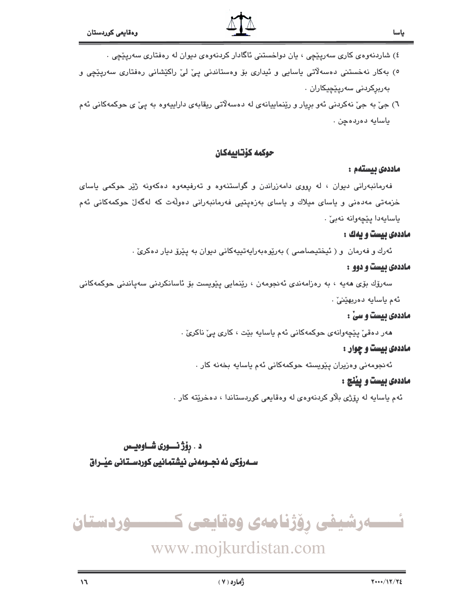٤) شاردنهوهي کاري سهريێڃي ، پان دواخستني ئاگادار کردنهوهي ديوان له رهفتاري سهريێڃي .

- ٥) بەكار نەخستنى دەسەلاتى ياسايى و ئيدارى بۆ وەستاندنى پىّ لىّ راكێشانى رەڧتارى سەرپێچى و بەربركردنى سەرپێچيكاران .
- ٦) جيّ به جيّ نهکردني ئهو برِيار و رێنماييانهي له دهسهلاتي ريقابهي داراييهوه به پيّ ي حوکمهکاني ئهم ياسايه دەردەچن .

#### حوكمه كۆتابيەكان

#### ماددەى بېستەم :

ياسا

فهرمانبهرانی دیوان ، له رووی دامهزراندن و گواستنهوه و تهرفیعهوه دهکهونه ژێر حوکمی یاسای خزمەتى مەدەنى و ياساي ميلاك و ياساي بەزەپتىي فەرمانبەرانى دەولەت كە لەگەل حوكمەكانى ئەم ياسايەدا پێچەوانە نەبىٚ ٠

#### ماددهی بیست و یهك :

ئەرك و فەرمان و ( ئىختىصاصى ) بەرپوەبەرايەتىيەكانى دىوان بە يێرۆ ديار دەكرىؒ ٠

#### ماددهی بیست و دوو :

سەرۆك بۆي ھەيە ، بە رەزامەندى ئەنجومەن ، رێنمايى پێويست بۆ ئاسانكردنى سەپاندنى حوكمەكانى ئەم ياسايە دەربھێنىٚ ٠

#### ماددهی بیست و سی :

هەر دەقى ييچەوانەي حوكمەكانى ئەم ياسايە بيت ، كارى يى ناكرى .

#### ماددهی بیست و چوار :

ئەنجومەنى وەزيران پێويستە حوكمەكانى ئەم ياسايە بخەنە كار .

#### ماددهی بیست و پیننج :

ئهم باسايه له رۆژى بلاو كردنهوهى له وەقايعى كوردستاندا ، دەخريته كار .

د . رؤژ نسوری شــاوەيــس ســــدروّکی نه نجـــومه نی نیشتمــانیی کوردســتـانی عیـــراق

ئــــــەرشيفى رۆژنامەى وەقايعى كــــــــــوردستان

www.mojkurdistan.com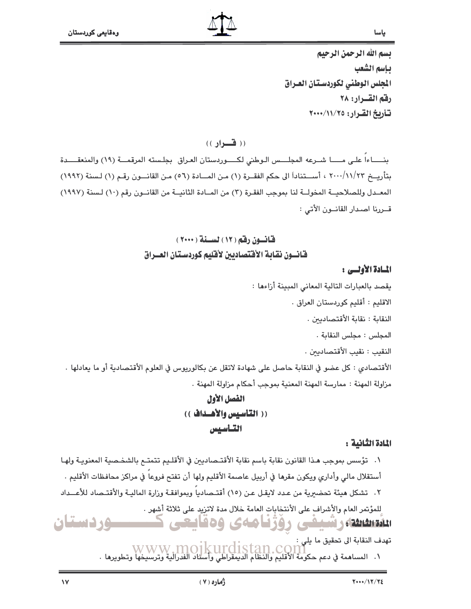يسم الله الرحمن الرحيم بإسم الشعب الجلس الوطنى لكوردستان العراق رقم القسرار: ٢٨ تأريخ القرار: ٢٠٠٠/١١/٢٥

(( فسواد ))

بنساءا على مسا شرعه المجلس الوطني لكسوردستان العراق بجلسته المرقمة (١٩) والمنعقسة بتأريــخ ٢٠٠٠/١١/٢٣ ، أســتناداً الى حكم الفقـرة (١) من المــادة (٥٦) من القانــون رقـم (١) لـسنة (١٩٩٢) المعـدل وللصلاحيــة المخولــة لنا بموجب الفقـرة (٣) من المــادة الثانيــة من القانــون رقم (١٠) لـسنة (١٩٩٧) قبررنا اصدار القانبون الأتي :

#### قانسون رقم (١٢) لسنة (٢٠٠٠) فانسون نقابة الأقتصاديين لأقليم كوردستان العسراق

#### المادة الأولسي :

يقصد بالعبارات التالية المعاني المبينة أزاءها:

الاقليم : أقليم كوردستان العراق .

النقابة : نقابة الأقتصاديين .

المجلس : مجلس النقابة .

النقيب : نقيب الأقتصاديين .

الأقتصادي : كل عضو في النقابة حاصل على شهادة لاتقل عن بكالوريوس في العلوم الأقتصادية أو ما يعادلها . مزاولة المهنة : ممارسة المهنة المعنية بموجب أحكام مزاولة المهنة .

### الفصل الأول (( التأسيس والأهـداف )) التناسيس

#### المادة الثانية :

١. تؤسس بموجب هـذا القانون نقابة باسم نقابة الأقتـصاديين في الأقلـيم تتمتـم بالشخـصية المعنويـة ولهـا أستقلال مالي وأداري ويكون مقرها في أربيل عاصمة الأقليم ولها أن تفتح فروعا في مراكز محافظات الأقليم . ٢. تشكل هيئة تحضيرية من عـدد لايقـل عـن (١٥) أقتـصاديا ويموافقـة وزارة الماليـة والأقتـصاد للأعـــداد للمؤتمر العام والأشراف على الأنتخابات العامة خلال مدة لاتزيد على ثلاثة أشهر . وردستان اللطائفة وتسبيقي ووزيا ماءي ودفايتي

تهدف النقابة الى تحقيق ما يلي :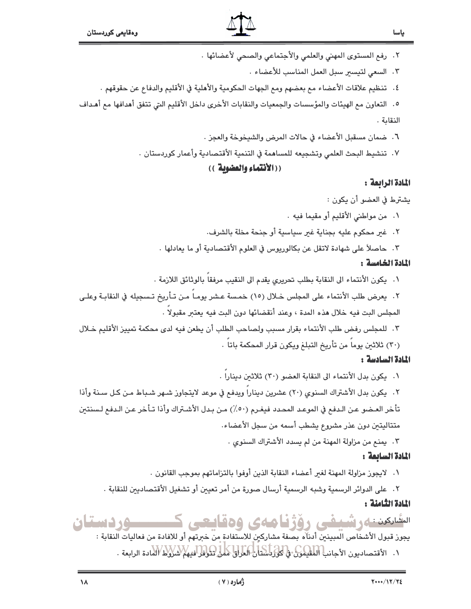٢. رفع المستوى المهني والعلمي والأجتماعي والصحى لأعضائها .

٣. السعى لتيسير سبل العمل المناسب للأعضاء .

٤. تنظيم علاقات الأعضاء مع بعضهم ومع الجهات الحكومية والأهلية في الأقليم والدفاع عن حقوقهم .

٥. التعاون مع الهيئات والمؤسسات والجمعيات والنقابات الأخرى داخل الأقليم التي تتفق أهدافها مع أهـداف النقاية .

٦. ضمان مسقبل الأعضاء في حالات المرض والشيخوخة والعجز .

٧. تنشيط البحث العلمي وتشجيعه للمساهمة في التنمية الأقتصادية وأعمار كوردستان .

#### ((الأنتماء والعضوية ))

#### المادة الرابعة :

يشترط في العضو أن يكون :

٠١. من مواطني الأقليم أو مقيما فيه ٠

٢. غير محكوم عليه بجناية غير سياسية أو جنحة مخلة بالشرف.

٣. حاصلاً على شهادة لاتقل عن بكالوريوس في العلوم الأقتصادية أو ما يعادلها .

#### المادة الخامسة :

١. يكون الأنتماء الى النقابة بطلب تحريري يقدم الى النقيب مرفقاً بالوثائق اللازمة .

- ٢. يعرض طلب الأنتماء على المجلس خـلال (١٥) خمسة عـشر يومـا مـن تـأريخ تـسجيله في النقابـة وعلـى المجلس البت فيه خلال هذه المدة ، وعند أنقضائها دون البت فيه يعتبر مقبولا .
- ٢. للمجلس رفض طلب الأنتماء بقرار مسبب ولصاحب الطلب أن يطعن فيه لدى محكمة تمييز الأقليم خـلال (٣٠) ثلاثين يوماً من تأريخ التبلغ ويكون قرار المحكمة باتاً .

#### المادة السادسة :

٠. يكون بدل الأنتماء الى النقابة العضو (٣٠) ثلاثين دينارا .

٢. يكون بدل الأشتراك السنوى (٢٠) عشرين دينارا ويدفع في موعد لايتجاوز شـهر شـباط مـن كـل سـنة وأذا تأخر العـضو عـن الـدفـع في الموعـد المحـدد فيغـرم (٥٠٪) مـن بـدل الأشـتراك وأذا تـأخر عـن الـدفـع لـسنتين متتاليتين دون عذر مشروع يشطب أسمه من سجل الأعضاء.

٣. يمنع من مزاولة المهنة من لم يسدد الأشتراك السنوى .

#### المادة السابعة :

٠. لايجوز مزاولة المهنة لغير أعضاء النقابة الذين أوفوا بالتزاماتهم بموجب القانون .

٢. على الدوائر الرسمية وشبه الرسمية أرسال صورة من أمر تعيين أو تشغيل الأقتصاديين للنقابة .

#### المادة الثامنة :

تىقىدىن نەرشىفى رۆژنامەي ۋەقايچى ك **ور دستان** 

يجوز قبول الأشخاص المبينين أدناه بصفة مشاركين للاستفادة من خبرتهم أو للافادة من فعاليات النقابة : ١. الأقتصاديون الأجانب اللَّهيْمَوْنَ وْلْكُوْرُوالْمْتَانْ الْعَرَاقْ هُمْلْ لَتَوْفَلْ فَيَهْلاَشْرُوط المادة الرابعة .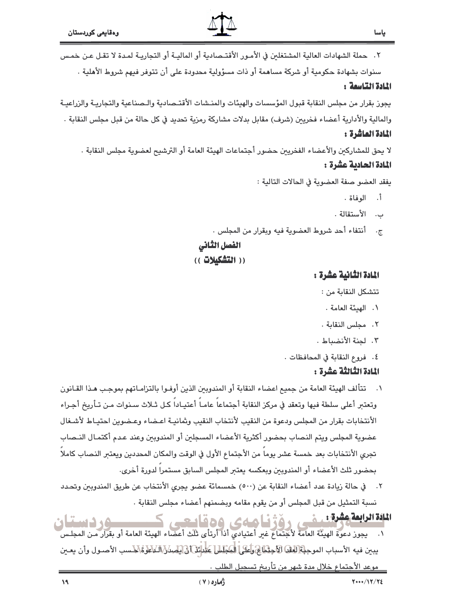

٢. حملة الشهادات العالية المشتغلين في الأمـور الأقتـصادية أو الماليـة أو التجاريـة لمـدة لا تقـل عـن خمـس

سنوات بشهادة حكومية أو شركة مساهمة أو ذات مسؤولية محدودة على أن تتوفر فيهم شروط الأهلية .

#### المادة التاسعة :

يجوز بقرار من مجلس النقابة قبول المؤسسات والهيئات والمنـشات الأقتـصادية والـصناعية والتجاريـة والزراعيـة والمالية والأدارية أعضاء فخريين (شرف) مقابل بدلات مشاركة رمزية تحديد في كل حالة من قبل مجلس النقابة . المادة العاشرة :

لا يحق للمشاركين والأعضاء الفخريين حضور أجتماعات الهيئة العامة أو الترشيح لعضوية مجلس النقابة . المادة الحادية عشرة :

يفقد العضو صفة العضوية في الحالات التالية :

- أ. الوفاة .
- ب. الأستقالة .
- ج. أنتفاء أحد شروط العضوية فيه ويقرار من المجلس .

### الفصل الثانى

#### (( التشكيلات ))

#### المادة الثانية عشرة :

تتشكل النقابة من :

- ٠. الهيئة العامة .
- ٢. مجلس النقابة .
- ٢. لحنة الأنضباط.
- ٤. فروع النقابة في المحافظات .

#### المادة الثالثة عشرة :

- ١. تتألف الهيئة العامة من جميع اعضاء النقابة أو المندوبين الذين أوفـوا بالتزامـاتهم بموجـب هـذا القـانون وتعتبر أعلى سلطة فيها وتعقد فى مركز النقابة أجتماعاً عامـاً أعتيـاداً كـل ثـلاث سـنوات مـن تـأريخ أجـراء الأنتخابات بقرار من المجلس ودعوة من النقيب لأنتخاب النقيب وثمانيـة اعـضاء وعـضوين احتيـاط لأشـغال عضوية المجلس ويتم النصاب بحضور أكثرية الأعضاء المسجلين أو المندويين وعند عدم أكتمـال النـصاب تجرى الأنتخابات بعد خمسة عشر يوماً من الأجتماع الأول في الوقت والمكان المحددين ويعتبر النصاب كاملاً بحضور ثلث الأعضاء أو المندوبين ويعكسه يعتبر المجلس السابق مستمرا لدورة أخرى.
- ٢. في حالة زيادة عدد أعضاء النقابة عن (٥٠٠) خمسمائة عضو يجري الأنتخاب عن طريق المندوبين وتحدد نسبة التمثيل من قبل المجلس أو من يقوم مقامه وبضمنهم أعضاء مجلس النقابة .

المائ<mark>ة الرابعة عشرة : مشرق : مشرق في العناء التار</mark>يخ والتاريخ المناسب المستقبل .<br>١. يجوز دعوة الهيئة العامة لأختماع غير أعتيادي أذا أرتأى ثلث أعضاء الهيئة العامة أو بقرار من المجلس يبين فيه الأسباب الموجلة[العلق] لأجلناكم وعلى[المكلس] علىإنش[ال[المسلا|الـلاعوة|لمسب الأصبول وأن يعين <u>. موعد الأجتماع خلال مدة شهر من تأريخ تسجيل الطلب .</u>

**6 د دستان**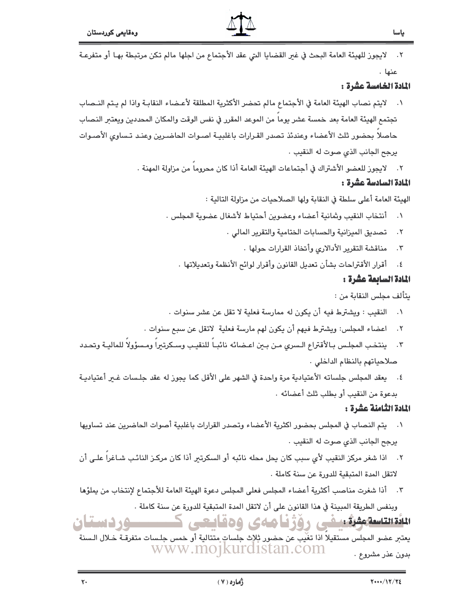٢. لايجوز للهيئة العامة البحث في غير القضايا التي عقد الأجتماع من اجلها مالم تكن مرتبطة بهـا أو متفرعـة عنها .

#### المادة الخامسة عشرة :

- ١. لايتم نصاب الهيئة العامة في الأجتماع مالم تحضر الأكثرية المطلقة لأعـضاء النقابـة واذا لم يـتم النـصاب تجتمع الهيئة العامة بعد خمسة عشر يوما من الموعد المقرر في نفس الوقت والمكان المحددين ويعتبر النصاب حاصلا بحضور ثلث الأعضاء وعندئذ تصدر القرارات باغلبية اصىوات الحاضرين وعند تساوى الأصىوات يرجح الجانب الذي صوت له النقيب .
	- ٢. لايجوز للعضو الأشتراك في أجتماعات الهيئة العامة أذا كان محروما من مزاولة المهنة .

#### المادة السادسة عشرة :

الهيئة العامة أعلى سلطة في النقابة ولها الصلاحيات من مزاولة التالية :

- ١. أنتخاب النقيب وشانية أعضاء وعضوين أحتياط لأشغال عضوية المجلس .
	- ٢. تصديق الميزانية والحسابات الختامية والتقرير المالى .
		- مناقشة التقرير الأدالاري وأتخاذ القرارات حولها .  $\cdot$   $\mathsf{r}$
	- ٤. أقرار الأقتراحات بشأن تعديل القانون وأقرار لوائح الأنظمة وتعديلاتها ٠

### المادة السابعة عشرة :

يتألف مجلس النقابة من :

- ٠١ النقيب : ويشترط فيه أن يكون له ممارسة فعلية لا تقل عن عشر سنوات .
- ٢. اعضاء المجلس: ويشترط فيهم أن يكون لهم مارسة فعلية الاتقل عن سبع سنوات .
- ٢. ينتخب المجلس بـالأقتراع الـسري مـن بـين اعـضائه نائبـاً للنقيـب وسـكرتيراً ومـسؤولاً للماليـة وتحـدد صلاحياتهم بالنظام الداخلى .
- ٤. يعقد المجلس جلساته الأعتيادية مرة واحدة في الشهر على الأقل كما يجوز له عقد جلـسات غـير أعتياديـة بدعوة من النقيب أو بطلب ثلث أعضائه .

#### المادة الثامنة عشرة :

- ١. يتم النصاب في المجلس بحضور اكثرية الأعضاء وتصدر القرارات باغلبية أصوات الحاضرين عند تساويها يرجح الجانب الذي صوت له النقيب .
- ٢. اذا شغر مركز النقيب لأي سبب كان يحل محله نائبه أو السكرتير أذا كان مركـز النائـب شـاغرا علـي أن لاتقل المدة المتبقية للدورة عن سنة كاملة .
- ٢. أذا شغرت مناصب أكثرية أعضاء المجلس فعلى المجلس دعوة الهيئة العامة للأجتماع لإنتخاب من يملؤها وبنفس الطريقة المبينة في هذا القانون على أن لاتقل المدة المتبقية للدورة عن سنة كاملة .

بىندىسەمشۇرىقى رۆژنامەي ۋەقايىتى ك **-16 د دستان** يعتبر عضو المجلس مستقيلاً اذا تغيب عن حضور ثلاث جلساتٍ متتالية أو خمس جلـسات متفرقـة خـلال الـسنة www.mojkurdistan.com بدون عذر مشروع .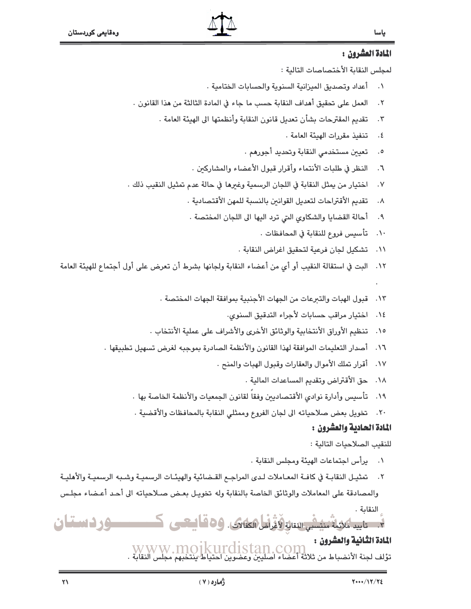#### المادة العشرون :

لمجلس النقابة الأختصاصات التالية :

- $\mathcal{N}$ أعداد وتصديق الميزانية السنوية والحسابات الختامية .
- العمل على تحقيق أهداف النقابة حسب ما جاء في المادة الثالثة من هذا القانون .  $\cdot$   $\mathsf{r}$ 
	- تقديم المقترحات بشأن تعديل قانون النقابة وأنظمتها الى الهيئة العامة .  $\cdot$ ۳
		- تنفيذ مقررات الهيئة العامة .  $\cdot$  {
		- تعيين مستخدمي النقابة وتحديد أجورهم .  $\cdot$ .0
		- النظر في طلبات الأنتماء وأقرار قبول الأعضاء والمشاركين .  $\mathcal{F}$ .
- اختيار من يمثل النقابة في اللجان الرسمية وغيرها في حالة عدم تمثيل النقيب ذلك .  $\cdot$   $\vee$ 
	- تقديم الأقتراحات لتعديل القوانين بالنسبة للمهن الأقتصادية .  $\cdot^{\mathcal{A}}$
	- أحالة القضايا والشكاوى التي ترد اليها الى اللجان المختصة .  $.9$ 
		- ١٠. تأسيس فروع للنقابة في المحافظات .
		- ٠١١ تشكيل لجان فرعية لتحقيق اغراض النقابة .
- ١٢. البت في استقالة النقيب أو أي من أعضاء النقابة ولجانها بشرط أن تعرض على أول أجتماع للهيئة العامة
	- ١٣. قبول الهبات والتبرعات من الجهات الأجنبية بموافقة الجهات المختصة .
		- ١٤. اختيار مراقب حسابات لأجراء التدقيق السنوى.
	- ١٥. تنظيم الأوراق الأنتخابية والوثائق الأخرى والأشراف على عملية الأنتخاب .
	- ١٦. أصدار التعليمات الموافقة لهذا القانون والأنظمة الصادرة بموجبه لغرض تسهيل تطبيقها .
		- ١٧. أقرار تملك الأموال والعقارات وقبول الهبات والمنح .
			- ١٨. حق الأقتراض وتقديم المساعدات المالية .
		- ١٩. تأسيس وأدارة نوادي الأقتصاديين وفقا لقانون الجمعيات والأنظمة الخاصة بها ٠
		- ٢٠. تخويل بعض صلاحياته الى لجان الفروع وممثلي النقابة بالمحافظات والأقضية .

#### المادة الحادية والعشرون :

للنقيب الصلاحيات التالية :

- ٠. يرأس اجتماعات الهيئة ومجلس النقابة .
- ٢. تمثيـل النقابـة في كافـة المعـاملات لـدى المراجـم القـضائية والهيئـات الرسميـة وشـبه الرسميـة والأهليـة والمصادقة على المعاملات والوثائق الخاصة بالنقابة وله تخويل بعض صلاحياته الى أحد أعضاء مجلس النقابة .

.<br>٢. تاييد مَلاَيَةٌ مَنْتِسِّي التقائِةِ لِأَغْرَامَلُ(الكفالات). **وَ2 قَا ابتلاس كَسَسَسَتَ** <u>سور دستان</u>

#### المادة الثانية والعشرون :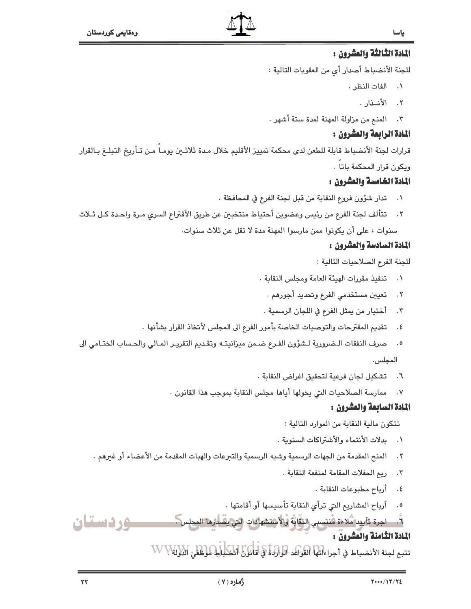#### المادة الثَّالثَّة والعشَرون :

للجنة الأنضباط أصدار أي من العقوبات التالية :

- ٠. الفات النظر .
	- ٢. الأنبذار .
- ٣. المنـم من مزاولة المهنة لمدة ستة أشهر .

#### المادة الرابعة والعشرون :

قرارات لجنة الأنضباط قابلة للطعن لدى محكمة تمييز الأقليم خلال مدة ثلاثـين يومـاً مـن تـأريخ التبلـغ بـالقرار ويكون قرار المحكمة باتاً .

#### المادة الخامسة والعشرون :

- ٠١ تدار شؤون فروع النقابة من قبل لجنة الفرع في المحافظة .
- ٢. تتألف لجنة الفرع من رئيس وعضوين أحتياط منتخبين عن طريق الأقتراع السرى مـرة واحـدة كـل ثـلاث سنوات ، على أن يكونوا ممن مارسوا المهنة مدة لا تقل عن ثلاث سنوات.

#### المادة السادسة والعشرون :

للجنة الفرع الصلاحيات التالية :

- ٠١ تنفيذ مقررات الهيئة العامة ومجلس النقابة .
	- ٢. تعيين مستخدمي الفرع وتحديد أجورهم .
- ٢. أختيار من يمثل الفرع في اللجان الرسمية .
- ٤. تقديم المقترحات والتوصيات الخاصة بأمور الفرع الى المجلس لأنخاذ القرار بشأنها ٠
- صرف النفقات الـضرورية لـشؤون الفـرع ضـمن ميزانيتـه وتقديم التقريـر المـالى والحساب الختـامى الى  $\cdot$ .0 المجلس.
	- ٦. تشكيل لجان فرعية لتحقيق اغراض النقابة .
	- ٧. ممارسة الصلاحيات التي يخولها أياها مجلس النقابة بموجب هذا القانون .

#### المادة السابعة والعشرون :

تتكون مالية النقابة من الموارد التالية :

- ١. بدلات الأنتماء والأشتراكات السنوية .
- ٢. المنح المقدمة من الجهات الرسمية وشبه الرسمية والتبرعات والهبات المقدمة من الأعضاء أو غيرهم .
	- ٢. ريم الحفلات المقامة لمنفعة النقابة .
		- ٤. أرباح مطبوعات النقابة .
	- ٥. أرباح المشاريع التي ترأى النقابة تأسيسها أو أقامتها .

وردستان 

### المادة الثامنة والعشرون :

تتبع لجنة الأنضباط في أجراء اللها الكواعد الله إنَّ له عنها الحكل الخطَّبالها لولطاني الأولي الاستراكا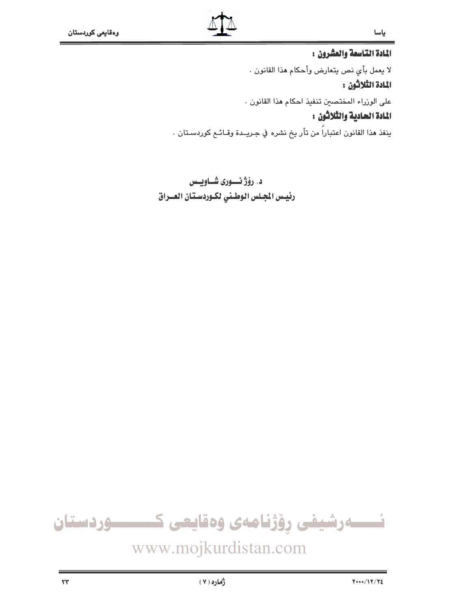

#### ياسا

#### المادة التاسعة والعشرون :

لا يعمل بأي نص يتعارض وأحكام هذا القانون . المادة الثلاثون :

على الوزراء المختصين تنفيذ احكام هذا القانون .

### المادة الحادية والثلاثون :

ينفذ هذا القانون اعتباراً من تأر يخ نشره في جـريــدة وقـائـع كوردسـتان .

د. رۆژنسورى شاويس رئيس الجلس الوطنى لكوردستان العراق



www.mojkurdistan.com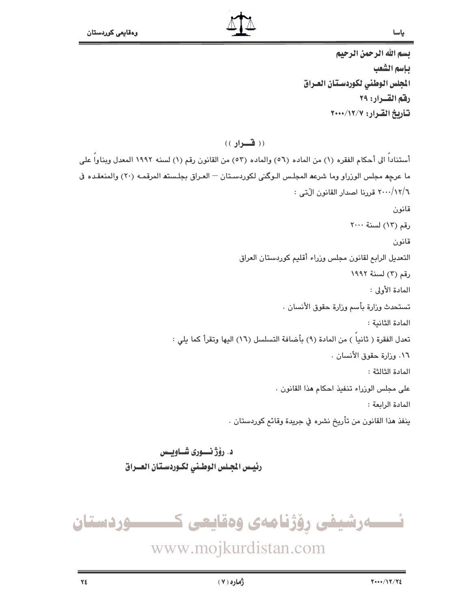بسم الله الرحمن الرحيم بإسم الشعب المجلس الوطني لكوردستان العـراق رفق القرار: ٢٩ تأريخ القرار: ١٢/٧/١٢٠٠٠

(( فسواد ))

أستنادا الى أحكام الفقره (١) من الماده (٥٦) والماده (٥٣) من القانون رقم (١) لسنه ١٩٩٢ المعدل وبناوا على ما عرچه مجلس الوزراو وما شرعه المجلس الـوكنى لكوردستان - العـراق بجلسته المرقمـه (٢٠) والمنعقده في ٢/١٢/١٢ قررنا اصدار القانون الّتى : قانون رقم (١٣) لسنة ٢٠٠٠ قانون التعديل الرابع لقانون مجلس وزراء أقليم كوردستان العراق رقم (٣) لسنة ١٩٩٢ المادة الأولى : تستحدث وزارة بأسم وزارة حقوق الأنسان . المادة الثانية : تعدل الفقرة ( ثانياً ) من المادة (٩) بأضافة التسلسل (١٦) اليها وتقرأ كما يلي : ١٦. وزارة حقوق الأنسان . المادة الثالثة : على مجلس الوزراء تنفيذ احكام هذا القانون . المادة الرابعة : ينفذ هذا القانون من تأريخ نشره في جريدة وقائع كوردستان .

> د. رۆژ نسورى شـاويسس رئيس الجلس الوطنى لكوردستان العسراق

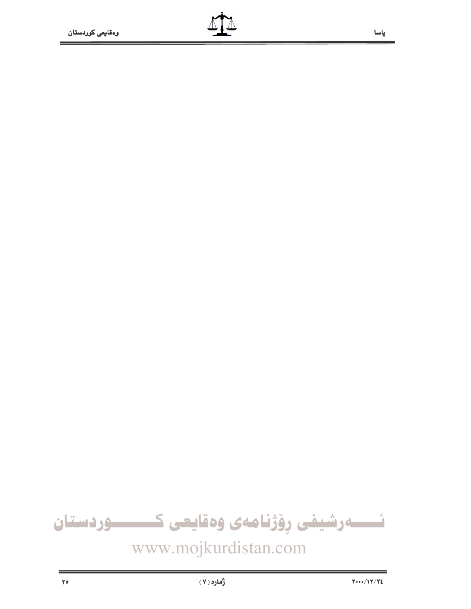

www.mojkurdistan.com

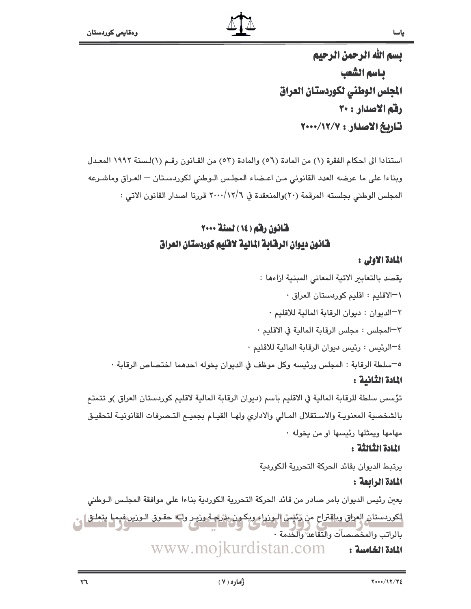يسم الله الرحمن الرحيم باسم الشعب المجلس الوطني لكوردستان العراق رقم الاصدار : ٣٠ تاريخ الاصدار : ٧/١٢/٧٠٠٠

استنادا الى احكام الفقرة (١) من المادة (٥٦) والمادة (٥٣) من القـانون رقـم (١)لـسنة ١٩٩٢ المعـدل وبناءا على ما عرضه العدد القانوني مـن اعـضاء المجلـس الـوطني لكوردسـتان — العـراق وماشـرعه المجلس الوطني بجلسته المرقمة (٢٠)والمنعقدة في ٢٠٠٠/١٢/٦ قررنا اصدار القانون الاتي :

### قانون رقم ( ١٤ ) لسنة ٢٠٠٠ فانون ديوان الرفابة المالية لافليم كوردستان العراق

#### المادة الأولى :

يقصد بالتعابير الاتية المعاني المبنية ازاءها :

\-الاقليم : اقليم كوردستان العراق ·

٢–الديوان : ديوان الرقابة المالية للاقليم ·

٣-المجلس : مجلس الرقابة المالية في الاقليم ·

٤-الرئيس : رئيس ديوان الرقابة المالية للاقليم ٠

0-سلطة الرقابة : المجلس ورئيسه وكل موظف في الديوان يخوله احدهما اختصاص الرقابة ·

#### المادة الثانية :

تؤسس سلطة للرقابة المالية في الاقليم باسم (ديوان الرقابة المالية لاقليم كوردستان العراق )و تتمتم بالشخصية المعنوية والاستقلال المالى والادارى ولها القيام بجميـم التـصرفات القانونيـة لتحقيـق مهامها ويمثلها رئيسها او من يخوله ٠

#### اللادة الثالثة :

يرتبط الديوان بقائد الحركة التحررية الكوردية

#### المادة الرابعة :

يعين رئيس الديوان بامر صادر من قائد الحركة التحررية الكوردية بناءا على موافقة المجلس الـوطني لكوردستان العراق وباقتراح من رئيس البوزراء ويكون بذراجة وزيـر ولــه حقـوق الـوزير فيمـا يتعلـق المع بالراتب والمخصصات والتقاعد والخدمة ٠ WWW.mojkurdistan.com .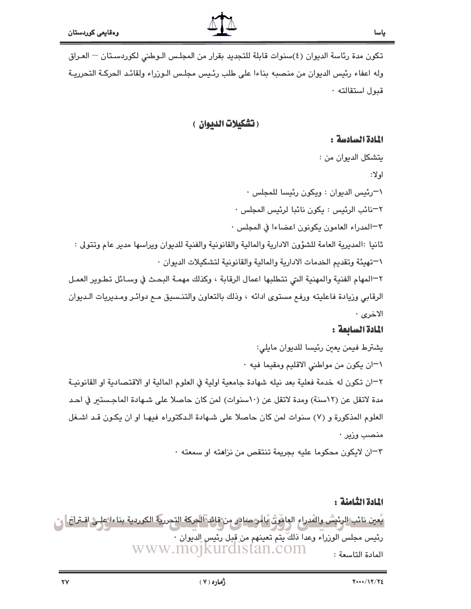تكون مدة رئاسة الديوان (٤)سنوات قابلة للتجديد بقرار من المجلس الـوطني لكوردسـتان — العـراق وله اعفاء رئيس الديوان من منصبه بناءا على طلب رئيس مجلس الـوزراء ولقائد الحركـة التحرريـة قبول استقالته ٠

#### (تشكيلات الديوان )

#### المادة السادسة :

بتشكل الدبوان من :

اولا:

\−رئيس الديوان : ويكون رئيسا للمجلس ·

٢−نائب الرئيس : يكون نائبا لرئيس المجلس ·

٣–المدراء العامون يكونون اعضاءا في المجلس ·

ثانيا :المديرية العامة للشؤون الادارية والمالية والقانونية والفنية للديوان ويراسها مدير عام وتتولى : \—تهيئة وتقديم الخدمات الادارية والمالية والقانونية لتشكيلات الديوان ·

٢–المهام الفنية والمهنية التي تتطلبها اعمال الرقابة ، وكذلك مهمـة البحـث في وسـائل تطـوير العمـل الرقابي وزيادة فاعليته ورفع مستوى ادائه ، وذلك بالتعاون والتنـسيق مـع دوائـر ومـديريات الـديوان الاخرى ·

#### المادة السائعة :

يشترط فيمن يعين رئيسا للديوان مايلي:

· ان يكون من مواطني الاقليم ومقيما فيه ·

٢—ان تكون له خدمة فعلية بعد نيله شهادة جامعية اولية في العلوم المالية او الاقتصادية او القانونيـة مدة لاتقل عن (١٢سنة) ومدة لاتقل عن (١٠سنوات) لمن كان حاصلا على شـهادة الماجـستـر في احـد العلوم المذكورة و (٧) سنوات لمن كان حاصلا على شـهادة الـدكتوراه فيهـا او ان يكـون قـد اشـغل منصب وزير ٠

٣–ان لايكون محكوما عليه بجريمة تنتقص من نزاهته او سمعته ·

#### المادة الثامنة :

يِّعين نائب الرئيسُ والمُدراءِ العامُونُ بالمن صادر من قائد الحُركة التجررية الكوردية بناءا علـي اقـتراح ا رئيس مجلس الوزراء وعدا ذلكٌ يتم تعينهم من قبل رئيس الديوان • www.mojkurdistan.com المادة التاسعة :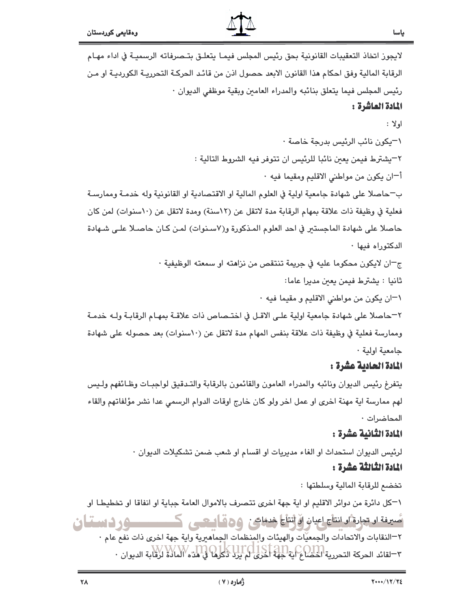لايجوز اتخاذ التعقيبات القانونية بحق رئيس المجلس فيمـا يتعلـق بتـصرفاته الرسميـة في اداء مهـام الرقابة المالية وفق احكام هذا القانون الابعد حصول اذن من قائـد الحركـة التحرريـة الكورديـة او مـن رئيس المجلس فيما يتعلق بنائبه والمدراء العامين وبقية موظفى الديوان ·

### المادة العاشرة :

 $: \aleph d$ 

\"يكون نائب الرئيس بدرجة خاصة ·

٢–يشترط فيمن يعين نائبا للرئيس ان تتوفر فيه الشروط التالية :

أ¬ان يكون من مواطني الاقليم ومقيما فيه ·

ب—حاصلا على شهادة جامعية اولية في العلوم المالية او الاقتصادية او القانونية وله خدمـة وممارسـة فعلية في وظيفة ذات علاقة بمهام الرقابة مدة لاتقل عن (١٢سنة) ومدة لاتقل عن (١٠سنوات) لمن كان حاصلا على شهادة الماجستير في احد العلوم المـذكورة و(٧سـنوات) لمـن كـان حاصـلا علـى شـهادة الدكتوراه فيها ·

ج—ان لايكون محكوما عليه في جريمة تنتقص من نزاهته او سمعته الوظيفية ·

ثانيا : يشترط فيمن يعين مديرا عاما:

۰–ان یکون من مواطنی الاقلیم و مقیما فیه ۰

٢–حاصلا على شهادة جامعية اولية علـى الاقـل في اختـصاص ذات علاقـة بمهـام الرقابـة ولــه خدمـة وممارسة فعلية في وظيفة ذات علاقة بنفس المهام مدة لاتقل عن (١٠سنوات) بعد حصوله على شهادة جامعية اولية ٠

#### المادة الحادية عشرة :

يتفرغ رئيس الديوان ونائبه والمدراء العامون والقائمون بالرقابة والتـدقيق لواجبـات وظـائفهم ولـيس لهم ممارسة اية مهنة اخرى او عمل اخر ولو كان خارج اوقات الدوام الرسمي عدا نشر مؤلفاتهم والقاء المحاضرات ٠

#### المادة الثانية عشرة :

لرئيس الديوان استحداث او الغاء مديريات او اقسام او شعب ضمن تشكيلات الديوان · المادة الثالثة عشرة :

تخضع للرقابة المالية وسلطتها : \—كل دائرة من دوائر الاقليم او اية جهة اخرى تتصرف بالاموال العامة جباية او انفاقا او تخطيطـا او **مردستان** ٢–النقابات والاتحادات والجمعيّات والهيئات والمنظمات الجماهيرية واية جهة اخرى ذات نفع عام ٠ ٣–لقائد الحركة التحررية الخضاع اية جهة اخرى لم يزد دكرها في مده المالا للمالية الديوان ٠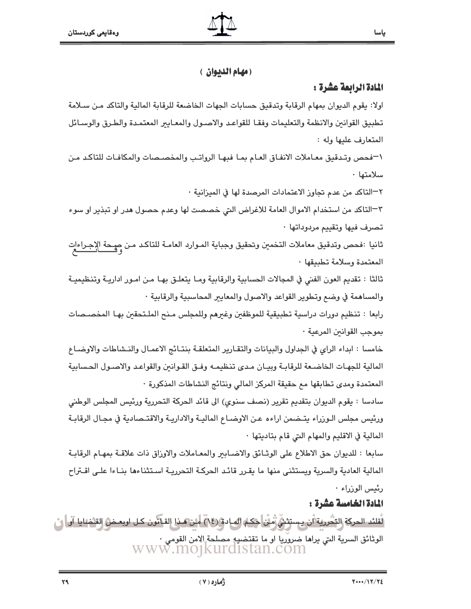### (مهام الديوان )

### المادة الرابعة عشرة :

اولا: يقوم الديوان بمهام الرقابة وتدقيق حسابات الجهات الخاضعة للرقابة المالية والتاكد مـن سـلامة تطبيق القوانين والانظمة والتعليمات وفقـا للقواعـد والاصـول والمعـايير المعتمـدة والطـرق والوسـائل المتعارف عليها وله :

١–فحص وتـدقيق معـاملات الانفـاق العـام بمـا فبهـا الرواتـب والمخصـصات والمكافـات للتاكـد مـن سلامتها ٠

٢–التاكد من عدم تجاوز الاعتمادات المرصدة لها في الميزانية ·

٣–التاكد من استخدام الاموال العامة للاغراض التي خصصت لها وعدم حصول هدر او تبذير او سوء تصرف فيها وتقييم مردوداتها ·

المعتمدة وسلامة تطبيقها ·

ثالثا : تقديم العون الفني في المجالات الحسابية والرقابية ومـا يتعلـق بهـا مـن امـور اداريـة وتنظيميـة والمساهمة في وضم وتطوير القواعد والاصول والمعايير المحاسبية والرقابية ·

رابعا : تنظيم دورات دراسية تطبيقية للموظفين وغيرهم وللمجلس مـنح الملـتحقين بهـا المخصـصات بموجب القوانين المرعية ·

خامسا : ابداء الراي في الجداول والبيانات والتقـارير المتعلقـة بنتـائج الاعمـال والنـشاطات والاوضـاع المالية للجهـات الخاضـعة للرقابـة وبيـان مـدى تنظيمـه وفـق القـوانين والقواعـد والاصـول الحـسابية المعتمدة ومدى تطابقها مع حقيقة المركز المالي ونتائج النشاطات المذكورة ·

سادسا : يقوم الديوان بتقديم تقرير (نصف سنوى) الى قائد الحركة التحررية ورئيس المجلس الوطني ورئيس مجلس الـورراء يتـضمن اراءه عـن الاوضـاع الماليـة والاداريـة والاقتـصادية في مجـال الرقابـة المالية في الاقليم والمهام التي قام بتاديتها ٠

سابعا : للديوان حق الاطلاع على الوثـائق والاضـابير والمعـاملات والاوزاق ذات علاقــة بمهـام الرقابــة المالية العادية والسرية ويستثنى منها ما يقـرر قائـد الحركـة التحرريـة اسـتثناءها بنـاءا علـى اقـتراح رئيس الوزراء ٠

#### المادة الخامسة عشرة :

الِّقلئد الحركة التَّحررية أن يستثنيُّ من حكم المبادة (٤) ۖ من مـدا القـانون كـل اوبعـض القـمانيا آو أ الوثائق السرية التي يراها ضروريا او ما تقتضيه مصلحة الامن القومي ·<br>WWW .INOTKUI'dIStan.COIN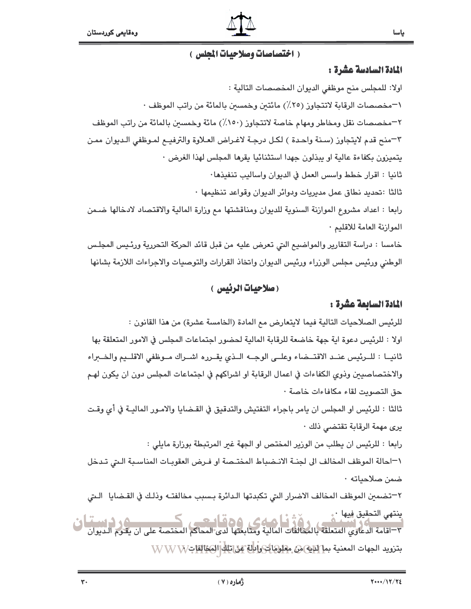

#### ( اختصاصات وصلاحیات المحلس )

#### المادة السادسة عشرة :

ياسا

اولا: للمجلس منح موظفى الديوان المخصصات التالية : \−مخصصات الرقابة لاتتجاوز (٢٥٪) مائتين وخمسين بالمائة من راتب الموظف · ٢–مخصصات نقل ومخاطر ومهام خاصة لاتتجاوز (١٥٠٪) مائة وخمسين بالمائة من راتب الموظف ٣–منح قدم لايتجاوز (سنة واحدة ) لكل درجة لاغـراض العـلاوة والترفيـع لمـوظفى الـديوان ممـن يتميزون بكفاءة عالية او يبذلون جهدا استثنائيا يقرها المجلس لهذا الغرض · ثانيا : اقرار خطط واسس العمل في الديوان واساليب تنفيذها· ثالثا :تحديد نطاق عمل مديريات ودوائر الديوان وقواعد تنظيمها · رابعا : اعداد مشروع الموازنة السنوية للديوان ومناقشتها مع وزارة المالية والاقتصاد لادخالها ضـمن الموازنة العامة للاقليم ·

خامسا : دراسة التقارير والمواضيع التي تعرض عليه من قبل قائد الحركة التحررية ورئـيس المجلـس الوطني ورئيس مجلس الوزراء ورئيس الديوان واتخاذ القرارات والتوصيات والاجراءات اللازمة بشانها

### (صلاحيات الرئيس )

#### المادة السابعة عشرة :

للرئيس الصلاحيات التالية فيما لايتعارض مع المادة (الخامسة عشرة) من هذا القانون : اولا : للرئيس دعوة اية جهة خاضعة للرقابة المالية لحضور اجتماعات المجلس في الامور المتعلقة بها ثانيـا : للـرئيس عنـد الاقتــضاء وعلــى الوجــه الــذى يقــرره اشــراك مــوظفى الاقلــيم والخــراء والاختصاصيين وذوى الكفاءات في اعمال الرقابة او اشراكهم في اجتماعات المجلس دون ان يكون لهـم حق التصويت لقاء مكافاءات خاصة ٠

ثالثا : للرئيس او المجلس ان يامر باجراء التفتيش والتدقيق في القـضايا والامـور الماليـة في آي وقـت يرى مهمة الرقابة تقتضى ذلك ·

رابعا : للرئيس ان يطلب من الورير المختص او الجهة غير المرتبطة بورارة مايلي : ١–احالة الموظف المخالف الى لجنــة الانــضباط المختــصة او فـرض العقوبـات المناسـبة الـتي تـدخل ضمن صلاحباته ٠

٢–تضمين الموظف المخالف الاضرار التي تكبدتها الدائرة بسبب مخالفتـه وذلـك في القـضايا الـتي ينتهى التحقيق فيها ٠. 

بتزويد الجهات المعنية بما للابي من مطوعات وابالة عن تلك المخالفات W W W